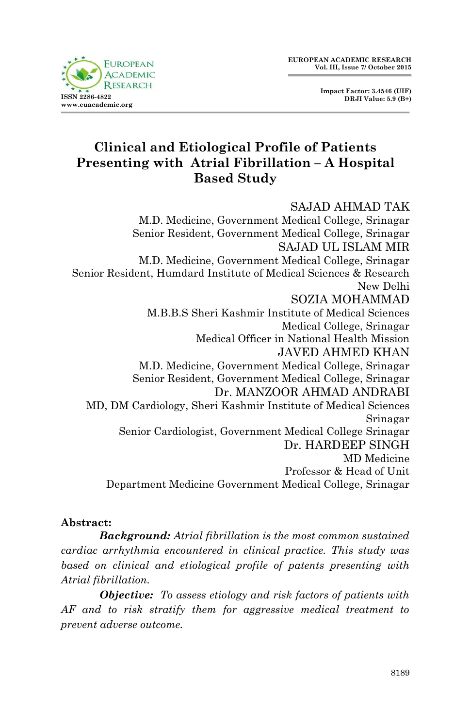

 **Impact Factor: 3.4546 (UIF) DRJI Value: 5.9 (B+)**

# **Clinical and Etiological Profile of Patients Presenting with Atrial Fibrillation – A Hospital Based Study**

#### SAJAD AHMAD TAK M.D. Medicine, Government Medical College, Srinagar Senior Resident, Government Medical College, Srinagar SAJAD UL ISLAM MIR M.D. Medicine, Government Medical College, Srinagar Senior Resident, Humdard Institute of Medical Sciences & Research New Delhi SOZIA MOHAMMAD M.B.B.S Sheri Kashmir Institute of Medical Sciences Medical College, Srinagar Medical Officer in National Health Mission JAVED AHMED KHAN M.D. Medicine, Government Medical College, Srinagar Senior Resident, Government Medical College, Srinagar Dr. MANZOOR AHMAD ANDRABI MD, DM Cardiology, Sheri Kashmir Institute of Medical Sciences Srinagar Senior Cardiologist, Government Medical College Srinagar Dr. HARDEEP SINGH MD Medicine Professor & Head of Unit Department Medicine Government Medical College, Srinagar

#### **Abstract:**

*Background: Atrial fibrillation is the most common sustained cardiac arrhythmia encountered in clinical practice. This study was based on clinical and etiological profile of patents presenting with Atrial fibrillation.*

*Objective: To assess etiology and risk factors of patients with AF and to risk stratify them for aggressive medical treatment to prevent adverse outcome.*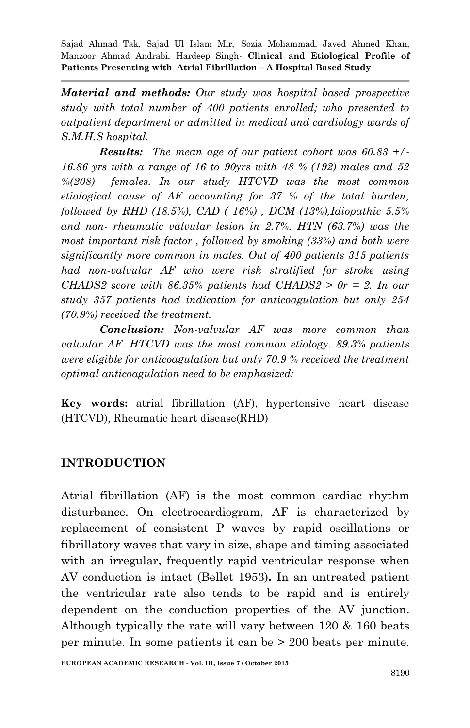*Material and methods: Our study was hospital based prospective study with total number of 400 patients enrolled; who presented to outpatient department or admitted in medical and cardiology wards of S.M.H.S hospital.*

*Results: The mean age of our patient cohort was 60.83 +/- 16.86 yrs with a range of 16 to 90yrs with 48 % (192) males and 52 %(208) females. In our study HTCVD was the most common etiological cause of AF accounting for 37 % of the total burden, followed by RHD (18.5%), CAD ( 16%) , DCM (13%),Idiopathic 5.5% and non- rheumatic valvular lesion in 2.7%. HTN (63.7%) was the most important risk factor , followed by smoking (33%) and both were significantly more common in males. Out of 400 patients 315 patients had non-valvular AF who were risk stratified for stroke using CHADS2 score with 86.35% patients had CHADS2 > 0r = 2. In our study 357 patients had indication for anticoagulation but only 254 (70.9%) received the treatment.*

*Conclusion: Non-valvular AF was more common than valvular AF. HTCVD was the most common etiology. 89.3% patients were eligible for anticoagulation but only 70.9 % received the treatment optimal anticoagulation need to be emphasized:*

**Key words:** atrial fibrillation (AF), hypertensive heart disease (HTCVD), Rheumatic heart disease(RHD)

### **INTRODUCTION**

Atrial fibrillation (AF) is the most common cardiac rhythm disturbance. On electrocardiogram, AF is characterized by replacement of consistent P waves by rapid oscillations or fibrillatory waves that vary in size, shape and timing associated with an irregular, frequently rapid ventricular response when AV conduction is intact (Bellet 1953)**.** In an untreated patient the ventricular rate also tends to be rapid and is entirely dependent on the conduction properties of the AV junction. Although typically the rate will vary between 120 & 160 beats per minute. In some patients it can be > 200 beats per minute.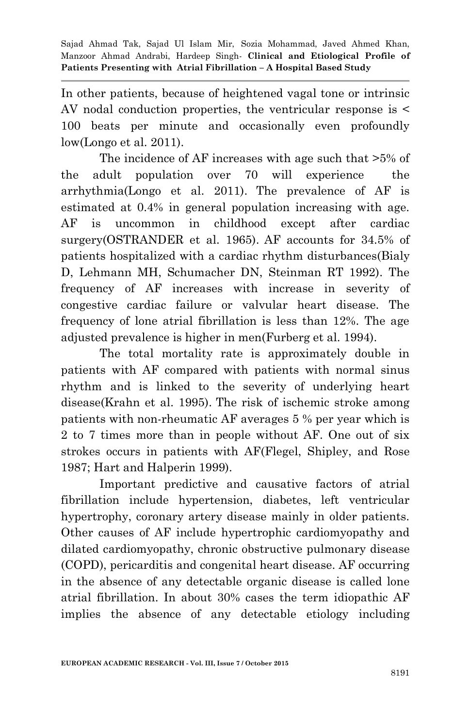In other patients, because of heightened vagal tone or intrinsic AV nodal conduction properties, the ventricular response is < 100 beats per minute and occasionally even profoundly low(Longo et al. 2011).

The incidence of AF increases with age such that >5% of the adult population over 70 will experience the arrhythmia(Longo et al. 2011). The prevalence of AF is estimated at 0.4% in general population increasing with age. AF is uncommon in childhood except after cardiac surgery(OSTRANDER et al. 1965). AF accounts for 34.5% of patients hospitalized with a cardiac rhythm disturbances(Bialy D, Lehmann MH, Schumacher DN, Steinman RT 1992). The frequency of AF increases with increase in severity of congestive cardiac failure or valvular heart disease. The frequency of lone atrial fibrillation is less than 12%. The age adjusted prevalence is higher in men(Furberg et al. 1994).

The total mortality rate is approximately double in patients with AF compared with patients with normal sinus rhythm and is linked to the severity of underlying heart disease(Krahn et al. 1995). The risk of ischemic stroke among patients with non-rheumatic AF averages 5 % per year which is 2 to 7 times more than in people without AF. One out of six strokes occurs in patients with AF(Flegel, Shipley, and Rose 1987; Hart and Halperin 1999).

Important predictive and causative factors of atrial fibrillation include hypertension, diabetes, left ventricular hypertrophy, coronary artery disease mainly in older patients. Other causes of AF include hypertrophic cardiomyopathy and dilated cardiomyopathy, chronic obstructive pulmonary disease (COPD), pericarditis and congenital heart disease. AF occurring in the absence of any detectable organic disease is called lone atrial fibrillation. In about 30% cases the term idiopathic AF implies the absence of any detectable etiology including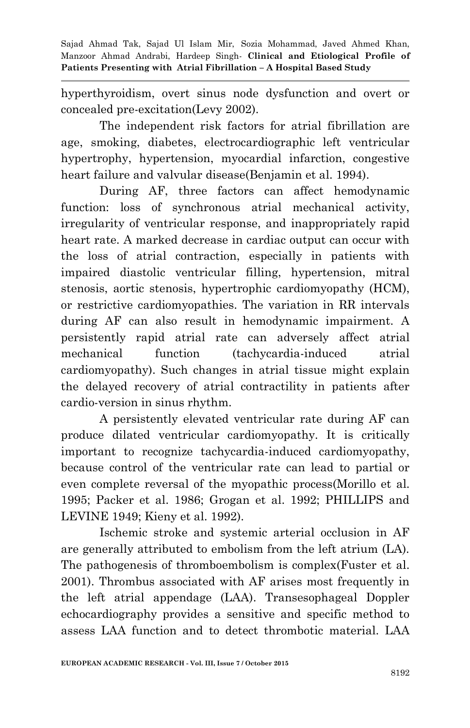hyperthyroidism, overt sinus node dysfunction and overt or concealed pre-excitation(Levy 2002).

The independent risk factors for atrial fibrillation are age, smoking, diabetes, electrocardiographic left ventricular hypertrophy, hypertension, myocardial infarction, congestive heart failure and valvular disease(Benjamin et al. 1994).

During AF, three factors can affect hemodynamic function: loss of synchronous atrial mechanical activity, irregularity of ventricular response, and inappropriately rapid heart rate. A marked decrease in cardiac output can occur with the loss of atrial contraction, especially in patients with impaired diastolic ventricular filling, hypertension, mitral stenosis, aortic stenosis, hypertrophic cardiomyopathy (HCM), or restrictive cardiomyopathies. The variation in RR intervals during AF can also result in hemodynamic impairment. A persistently rapid atrial rate can adversely affect atrial mechanical function (tachycardia-induced atrial cardiomyopathy). Such changes in atrial tissue might explain the delayed recovery of atrial contractility in patients after cardio-version in sinus rhythm.

A persistently elevated ventricular rate during AF can produce dilated ventricular cardiomyopathy. It is critically important to recognize tachycardia-induced cardiomyopathy, because control of the ventricular rate can lead to partial or even complete reversal of the myopathic process(Morillo et al. 1995; Packer et al. 1986; Grogan et al. 1992; PHILLIPS and LEVINE 1949; Kieny et al. 1992).

Ischemic stroke and systemic arterial occlusion in AF are generally attributed to embolism from the left atrium (LA). The pathogenesis of thromboembolism is complex(Fuster et al. 2001). Thrombus associated with AF arises most frequently in the left atrial appendage (LAA). Transesophageal Doppler echocardiography provides a sensitive and specific method to assess LAA function and to detect thrombotic material. LAA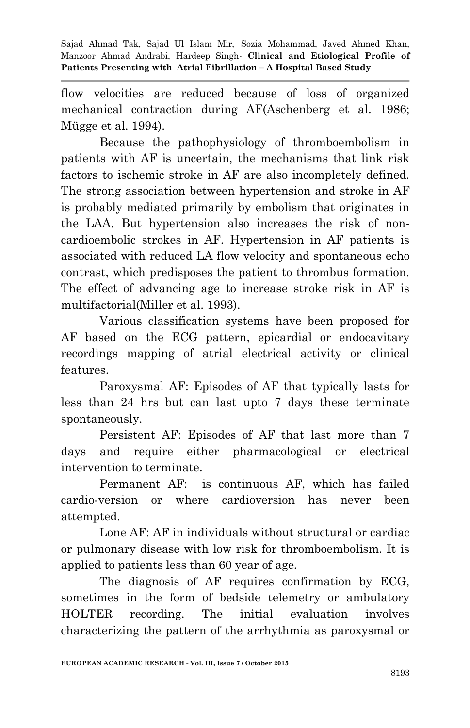flow velocities are reduced because of loss of organized mechanical contraction during AF(Aschenberg et al. 1986; Mügge et al. 1994).

Because the pathophysiology of thromboembolism in patients with AF is uncertain, the mechanisms that link risk factors to ischemic stroke in AF are also incompletely defined. The strong association between hypertension and stroke in AF is probably mediated primarily by embolism that originates in the LAA. But hypertension also increases the risk of noncardioembolic strokes in AF. Hypertension in AF patients is associated with reduced LA flow velocity and spontaneous echo contrast, which predisposes the patient to thrombus formation. The effect of advancing age to increase stroke risk in AF is multifactorial(Miller et al. 1993).

Various classification systems have been proposed for AF based on the ECG pattern, epicardial or endocavitary recordings mapping of atrial electrical activity or clinical features.

Paroxysmal AF: Episodes of AF that typically lasts for less than 24 hrs but can last upto 7 days these terminate spontaneously.

Persistent AF: Episodes of AF that last more than 7 days and require either pharmacological or electrical intervention to terminate.

Permanent AF: is continuous AF, which has failed cardio-version or where cardioversion has never been attempted.

Lone AF: AF in individuals without structural or cardiac or pulmonary disease with low risk for thromboembolism. It is applied to patients less than 60 year of age.

The diagnosis of AF requires confirmation by ECG, sometimes in the form of bedside telemetry or ambulatory HOLTER recording. The initial evaluation involves characterizing the pattern of the arrhythmia as paroxysmal or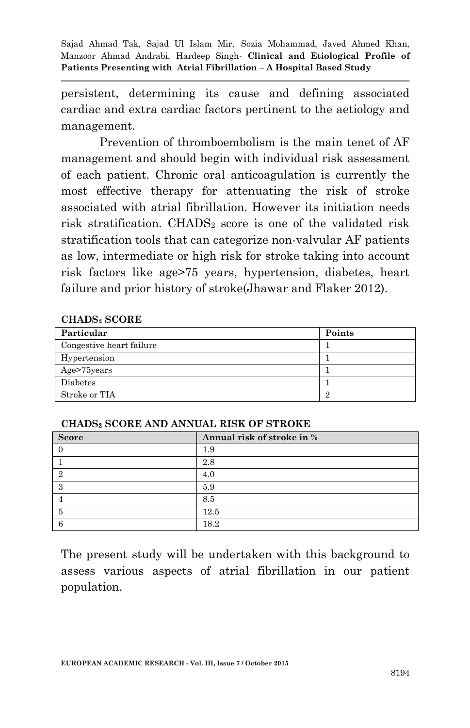persistent, determining its cause and defining associated cardiac and extra cardiac factors pertinent to the aetiology and management.

Prevention of thromboembolism is the main tenet of AF management and should begin with individual risk assessment of each patient. Chronic oral anticoagulation is currently the most effective therapy for attenuating the risk of stroke associated with atrial fibrillation. However its initiation needs risk stratification. CHADS<sub>2</sub> score is one of the validated risk stratification tools that can categorize non-valvular AF patients as low, intermediate or high risk for stroke taking into account risk factors like age>75 years, hypertension, diabetes, heart failure and prior history of stroke(Jhawar and Flaker 2012).

#### **CHADS<sup>2</sup> SCORE**

| Particular               | Points |
|--------------------------|--------|
| Congestive heart failure |        |
| Hypertension             |        |
| Age>75years              |        |
| Diabetes                 |        |
| Stroke or TIA            | 2      |

| <b>Score</b> | Annual risk of stroke in % |
|--------------|----------------------------|
|              | 1.9                        |
|              | 2.8                        |
| റ            | 4.0                        |
| -3           | 5.9                        |
|              | 8.5                        |
|              | $12.5\,$                   |

#### **CHADS<sup>2</sup> SCORE AND ANNUAL RISK OF STROKE**

The present study will be undertaken with this background to assess various aspects of atrial fibrillation in our patient population.

6 18.2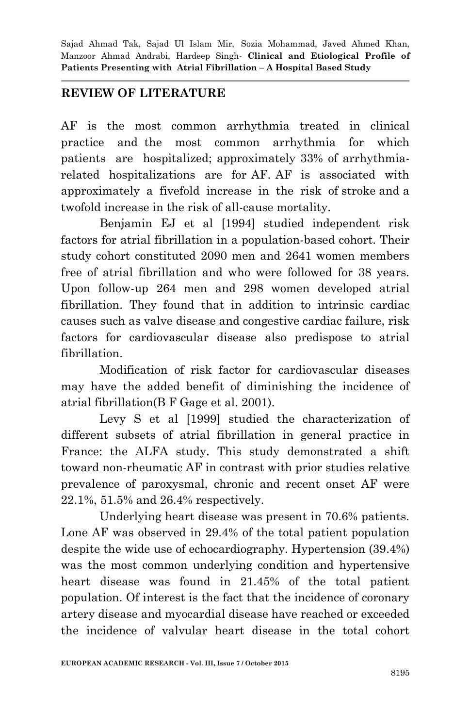## **REVIEW OF LITERATURE**

AF is the most common arrhythmia treated in clinical practice and the most common arrhythmia for which patients are hospitalized; approximately 33% of arrhythmiarelated hospitalizations are for AF. AF is associated with approximately a fivefold increase in the risk of stroke and a twofold increase in the risk of all-cause mortality.

Benjamin EJ et al [1994] studied independent risk factors for atrial fibrillation in a population-based cohort. Their study cohort constituted 2090 men and 2641 women members free of atrial fibrillation and who were followed for 38 years. Upon follow-up 264 men and 298 women developed atrial fibrillation. They found that in addition to intrinsic cardiac causes such as valve disease and congestive cardiac failure, risk factors for cardiovascular disease also predispose to atrial fibrillation.

Modification of risk factor for cardiovascular diseases may have the added benefit of diminishing the incidence of atrial fibrillation(B F Gage et al. 2001).

Levy S et al [1999] studied the characterization of different subsets of atrial fibrillation in general practice in France: the ALFA study. This study demonstrated a shift toward non-rheumatic AF in contrast with prior studies relative prevalence of paroxysmal, chronic and recent onset AF were 22.1%, 51.5% and 26.4% respectively.

Underlying heart disease was present in 70.6% patients. Lone AF was observed in 29.4% of the total patient population despite the wide use of echocardiography. Hypertension (39.4%) was the most common underlying condition and hypertensive heart disease was found in 21.45% of the total patient population. Of interest is the fact that the incidence of coronary artery disease and myocardial disease have reached or exceeded the incidence of valvular heart disease in the total cohort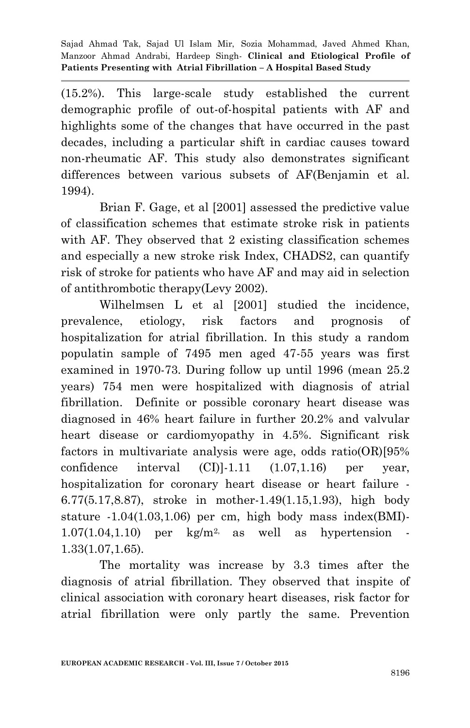(15.2%). This large-scale study established the current demographic profile of out-of-hospital patients with AF and highlights some of the changes that have occurred in the past decades, including a particular shift in cardiac causes toward non-rheumatic AF. This study also demonstrates significant differences between various subsets of AF(Benjamin et al. 1994).

Brian F. Gage, et al [2001] assessed the predictive value of classification schemes that estimate stroke risk in patients with AF. They observed that 2 existing classification schemes and especially a new stroke risk Index, CHADS2, can quantify risk of stroke for patients who have AF and may aid in selection of antithrombotic therapy(Levy 2002).

Wilhelmsen L et al [2001] studied the incidence, prevalence, etiology, risk factors and prognosis of hospitalization for atrial fibrillation. In this study a random populatin sample of 7495 men aged 47-55 years was first examined in 1970-73. During follow up until 1996 (mean 25.2 years) 754 men were hospitalized with diagnosis of atrial fibrillation. Definite or possible coronary heart disease was diagnosed in 46% heart failure in further 20.2% and valvular heart disease or cardiomyopathy in 4.5%. Significant risk factors in multivariate analysis were age, odds ratio(OR)[95% confidence interval  $(CI)$ ]-1.11  $(1.07,1.16)$  per year, hospitalization for coronary heart disease or heart failure - 6.77(5.17,8.87), stroke in mother-1.49(1.15,1.93), high body stature -1.04(1.03,1.06) per cm, high body mass index(BMI)-  $1.07(1.04,1.10)$  per kg/m<sup>2,</sup> as well as hypertension -1.33(1.07,1.65).

The mortality was increase by 3.3 times after the diagnosis of atrial fibrillation. They observed that inspite of clinical association with coronary heart diseases, risk factor for atrial fibrillation were only partly the same. Prevention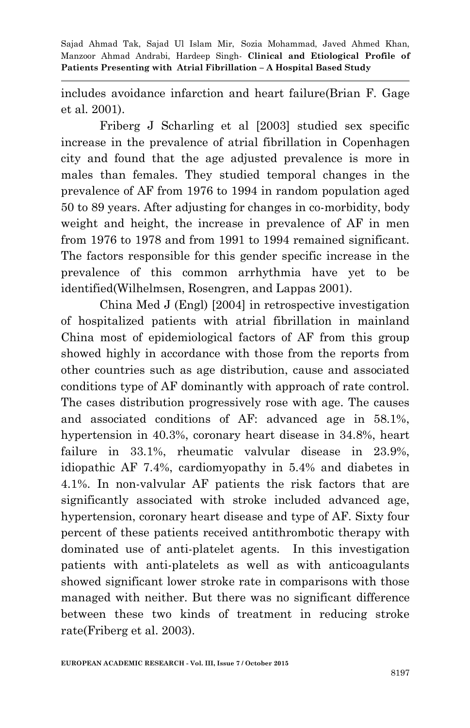includes avoidance infarction and heart failure(Brian F. Gage et al. 2001).

Friberg J Scharling et al [2003] studied sex specific increase in the prevalence of atrial fibrillation in Copenhagen city and found that the age adjusted prevalence is more in males than females. They studied temporal changes in the prevalence of AF from 1976 to 1994 in random population aged 50 to 89 years. After adjusting for changes in co-morbidity, body weight and height, the increase in prevalence of AF in men from 1976 to 1978 and from 1991 to 1994 remained significant. The factors responsible for this gender specific increase in the prevalence of this common arrhythmia have yet to be identified(Wilhelmsen, Rosengren, and Lappas 2001).

China Med J (Engl) [2004] in retrospective investigation of hospitalized patients with atrial fibrillation in mainland China most of epidemiological factors of AF from this group showed highly in accordance with those from the reports from other countries such as age distribution, cause and associated conditions type of AF dominantly with approach of rate control. The cases distribution progressively rose with age. The causes and associated conditions of AF: advanced age in 58.1%, hypertension in 40.3%, coronary heart disease in 34.8%, heart failure in 33.1%, rheumatic valvular disease in 23.9%, idiopathic AF 7.4%, cardiomyopathy in 5.4% and diabetes in 4.1%. In non-valvular AF patients the risk factors that are significantly associated with stroke included advanced age, hypertension, coronary heart disease and type of AF. Sixty four percent of these patients received antithrombotic therapy with dominated use of anti-platelet agents. In this investigation patients with anti-platelets as well as with anticoagulants showed significant lower stroke rate in comparisons with those managed with neither. But there was no significant difference between these two kinds of treatment in reducing stroke rate(Friberg et al. 2003).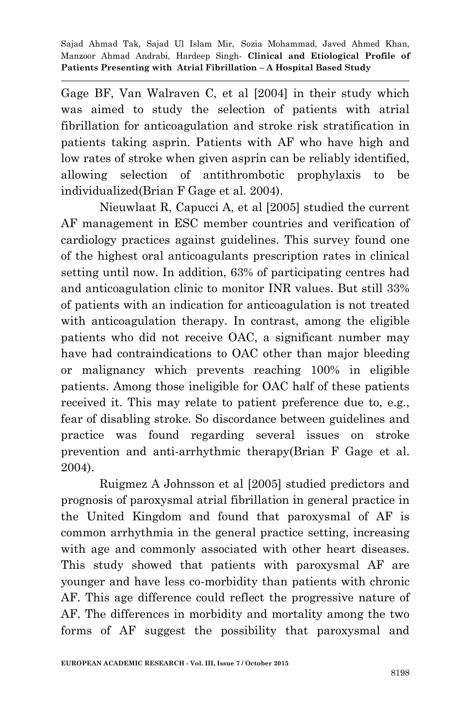Gage BF, Van Walraven C, et al [2004] in their study which was aimed to study the selection of patients with atrial fibrillation for anticoagulation and stroke risk stratification in patients taking asprin. Patients with AF who have high and low rates of stroke when given asprin can be reliably identified, allowing selection of antithrombotic prophylaxis to be individualized(Brian F Gage et al. 2004).

Nieuwlaat R, Capucci A, et al [2005] studied the current AF management in ESC member countries and verification of cardiology practices against guidelines. This survey found one of the highest oral anticoagulants prescription rates in clinical setting until now. In addition, 63% of participating centres had and anticoagulation clinic to monitor INR values. But still 33% of patients with an indication for anticoagulation is not treated with anticoagulation therapy. In contrast, among the eligible patients who did not receive OAC, a significant number may have had contraindications to OAC other than major bleeding or malignancy which prevents reaching 100% in eligible patients. Among those ineligible for OAC half of these patients received it. This may relate to patient preference due to, e.g., fear of disabling stroke. So discordance between guidelines and practice was found regarding several issues on stroke prevention and anti-arrhythmic therapy(Brian F Gage et al. 2004).

Ruigmez A Johnsson et al [2005] studied predictors and prognosis of paroxysmal atrial fibrillation in general practice in the United Kingdom and found that paroxysmal of AF is common arrhythmia in the general practice setting, increasing with age and commonly associated with other heart diseases. This study showed that patients with paroxysmal AF are younger and have less co-morbidity than patients with chronic AF. This age difference could reflect the progressive nature of AF. The differences in morbidity and mortality among the two forms of AF suggest the possibility that paroxysmal and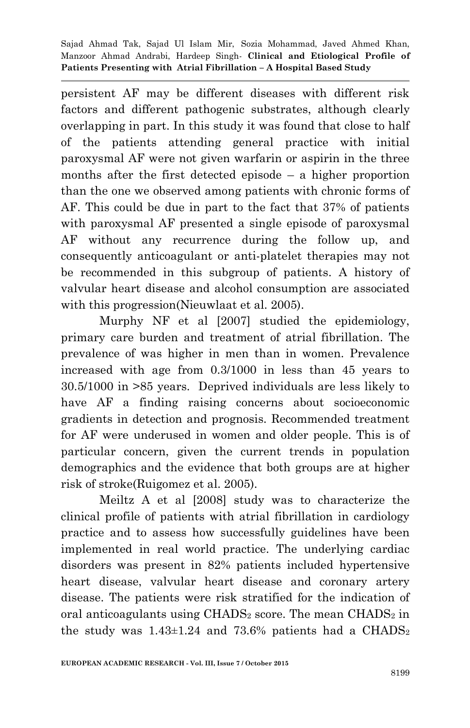persistent AF may be different diseases with different risk factors and different pathogenic substrates, although clearly overlapping in part. In this study it was found that close to half of the patients attending general practice with initial paroxysmal AF were not given warfarin or aspirin in the three months after the first detected episode – a higher proportion than the one we observed among patients with chronic forms of AF. This could be due in part to the fact that 37% of patients with paroxysmal AF presented a single episode of paroxysmal AF without any recurrence during the follow up, and consequently anticoagulant or anti-platelet therapies may not be recommended in this subgroup of patients. A history of valvular heart disease and alcohol consumption are associated with this progression(Nieuwlaat et al. 2005).

Murphy NF et al [2007] studied the epidemiology, primary care burden and treatment of atrial fibrillation. The prevalence of was higher in men than in women. Prevalence increased with age from 0.3/1000 in less than 45 years to 30.5/1000 in >85 years. Deprived individuals are less likely to have AF a finding raising concerns about socioeconomic gradients in detection and prognosis. Recommended treatment for AF were underused in women and older people. This is of particular concern, given the current trends in population demographics and the evidence that both groups are at higher risk of stroke(Ruigomez et al. 2005).

Meiltz A et al [2008] study was to characterize the clinical profile of patients with atrial fibrillation in cardiology practice and to assess how successfully guidelines have been implemented in real world practice. The underlying cardiac disorders was present in 82% patients included hypertensive heart disease, valvular heart disease and coronary artery disease. The patients were risk stratified for the indication of oral anticoagulants using  $\text{CHADS}_2$  score. The mean  $\text{CHADS}_2$  in the study was  $1.43\pm1.24$  and 73.6% patients had a CHADS<sub>2</sub>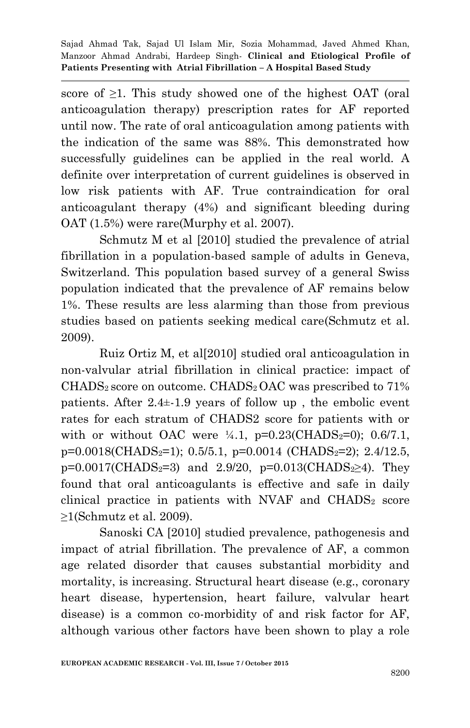score of  $\geq 1$ . This study showed one of the highest OAT (oral anticoagulation therapy) prescription rates for AF reported until now. The rate of oral anticoagulation among patients with the indication of the same was 88%. This demonstrated how successfully guidelines can be applied in the real world. A definite over interpretation of current guidelines is observed in low risk patients with AF. True contraindication for oral anticoagulant therapy (4%) and significant bleeding during OAT (1.5%) were rare(Murphy et al. 2007).

Schmutz M et al [2010] studied the prevalence of atrial fibrillation in a population-based sample of adults in Geneva, Switzerland. This population based survey of a general Swiss population indicated that the prevalence of AF remains below 1%. These results are less alarming than those from previous studies based on patients seeking medical care(Schmutz et al. 2009).

Ruiz Ortiz M, et al[2010] studied oral anticoagulation in non-valvular atrial fibrillation in clinical practice: impact of CHADS<sub>2</sub> score on outcome. CHADS<sub>2</sub> OAC was prescribed to 71% patients. After 2.4±-1.9 years of follow up , the embolic event rates for each stratum of CHADS2 score for patients with or with or without OAC were  $\frac{1}{4}$ .1, p=0.23(CHADS<sub>2</sub>=0); 0.6/7.1,  $p=0.0018$ (CHADS<sub>2</sub>=1); 0.5/5.1,  $p=0.0014$  (CHADS<sub>2</sub>=2); 2.4/12.5,  $p=0.0017$ (CHADS<sub>2</sub>=3) and 2.9/20,  $p=0.013$ (CHADS<sub>2</sub>≥4). They found that oral anticoagulants is effective and safe in daily clinical practice in patients with NVAF and  $\text{CHADS}_2$  score ≥1(Schmutz et al. 2009).

Sanoski CA [2010] studied prevalence, pathogenesis and impact of atrial fibrillation. The prevalence of AF, a common age related disorder that causes substantial morbidity and mortality, is increasing. Structural heart disease (e.g., coronary heart disease, hypertension, heart failure, valvular heart disease) is a common co-morbidity of and risk factor for AF, although various other factors have been shown to play a role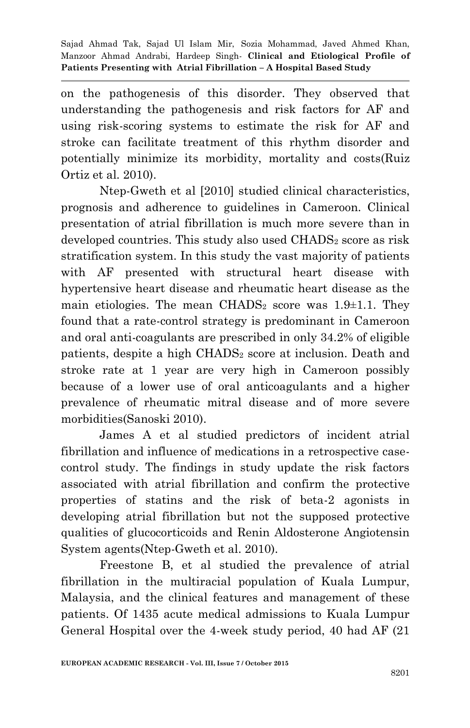on the pathogenesis of this disorder. They observed that understanding the pathogenesis and risk factors for AF and using risk-scoring systems to estimate the risk for AF and stroke can facilitate treatment of this rhythm disorder and potentially minimize its morbidity, mortality and costs(Ruiz Ortiz et al. 2010).

Ntep-Gweth et al [2010] studied clinical characteristics, prognosis and adherence to guidelines in Cameroon. Clinical presentation of atrial fibrillation is much more severe than in developed countries. This study also used CHADS<sub>2</sub> score as risk stratification system. In this study the vast majority of patients with AF presented with structural heart disease with hypertensive heart disease and rheumatic heart disease as the main etiologies. The mean  $\text{CHADS}_2$  score was 1.9 $\pm$ 1.1. They found that a rate-control strategy is predominant in Cameroon and oral anti-coagulants are prescribed in only 34.2% of eligible patients, despite a high CHADS<sub>2</sub> score at inclusion. Death and stroke rate at 1 year are very high in Cameroon possibly because of a lower use of oral anticoagulants and a higher prevalence of rheumatic mitral disease and of more severe morbidities(Sanoski 2010).

James A et al studied predictors of incident atrial fibrillation and influence of medications in a retrospective casecontrol study. The findings in study update the risk factors associated with atrial fibrillation and confirm the protective properties of statins and the risk of beta-2 agonists in developing atrial fibrillation but not the supposed protective qualities of glucocorticoids and Renin Aldosterone Angiotensin System agents(Ntep-Gweth et al. 2010).

Freestone B, et al studied the prevalence of atrial fibrillation in the multiracial population of Kuala Lumpur, Malaysia, and the clinical features and management of these patients. Of 1435 acute medical admissions to Kuala Lumpur General Hospital over the 4-week study period, 40 had AF (21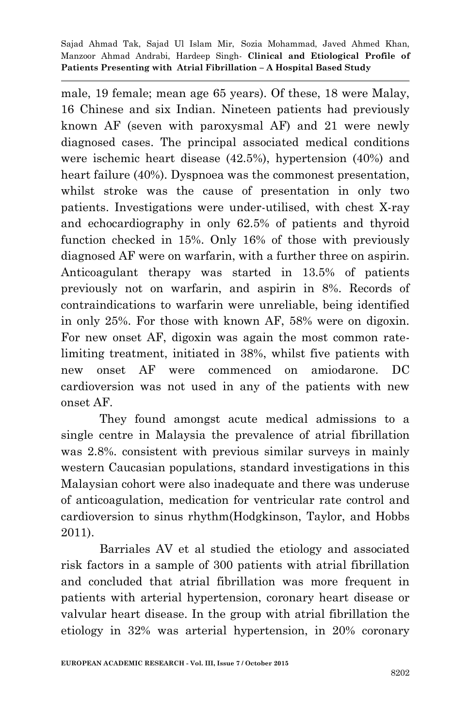male, 19 female; mean age 65 years). Of these, 18 were Malay, 16 Chinese and six Indian. Nineteen patients had previously known AF (seven with paroxysmal AF) and 21 were newly diagnosed cases. The principal associated medical conditions were ischemic heart disease (42.5%), hypertension (40%) and heart failure (40%). Dyspnoea was the commonest presentation, whilst stroke was the cause of presentation in only two patients. Investigations were under-utilised, with chest X-ray and echocardiography in only 62.5% of patients and thyroid function checked in 15%. Only 16% of those with previously diagnosed AF were on warfarin, with a further three on aspirin. Anticoagulant therapy was started in 13.5% of patients previously not on warfarin, and aspirin in 8%. Records of contraindications to warfarin were unreliable, being identified in only 25%. For those with known AF, 58% were on digoxin. For new onset AF, digoxin was again the most common ratelimiting treatment, initiated in 38%, whilst five patients with new onset AF were commenced on amiodarone. DC cardioversion was not used in any of the patients with new onset AF.

They found amongst acute medical admissions to a single centre in Malaysia the prevalence of atrial fibrillation was 2.8%. consistent with previous similar surveys in mainly western Caucasian populations, standard investigations in this Malaysian cohort were also inadequate and there was underuse of anticoagulation, medication for ventricular rate control and cardioversion to sinus rhythm(Hodgkinson, Taylor, and Hobbs 2011).

Barriales AV et al studied the etiology and associated risk factors in a sample of 300 patients with atrial fibrillation and concluded that atrial fibrillation was more frequent in patients with arterial hypertension, coronary heart disease or valvular heart disease. In the group with atrial fibrillation the etiology in 32% was arterial hypertension, in 20% coronary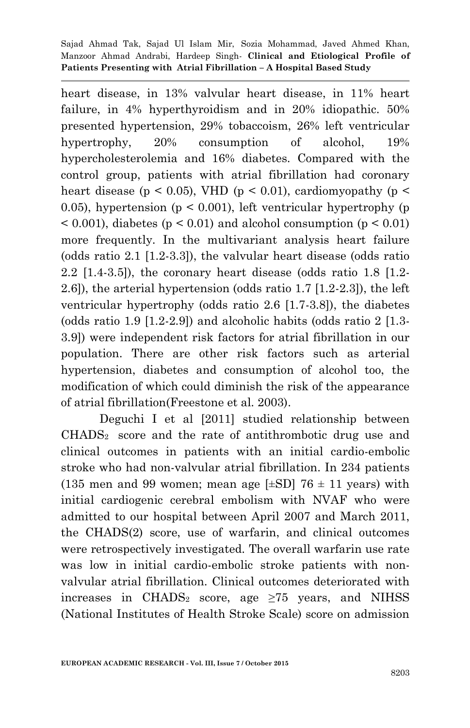heart disease, in 13% valvular heart disease, in 11% heart failure, in 4% hyperthyroidism and in 20% idiopathic. 50% presented hypertension, 29% tobaccoism, 26% left ventricular hypertrophy, 20% consumption of alcohol, 19% hypercholesterolemia and 16% diabetes. Compared with the control group, patients with atrial fibrillation had coronary heart disease ( $p < 0.05$ ), VHD ( $p < 0.01$ ), cardiomyopathy ( $p <$ 0.05), hypertension ( $p \leq 0.001$ ), left ventricular hypertrophy (p  $\leq$  0.001), diabetes ( $p \leq 0.01$ ) and alcohol consumption ( $p \leq 0.01$ ) more frequently. In the multivariant analysis heart failure (odds ratio 2.1 [1.2-3.3]), the valvular heart disease (odds ratio 2.2 [1.4-3.5]), the coronary heart disease (odds ratio 1.8 [1.2- 2.6]), the arterial hypertension (odds ratio 1.7 [1.2-2.3]), the left ventricular hypertrophy (odds ratio 2.6 [1.7-3.8]), the diabetes (odds ratio 1.9 [1.2-2.9]) and alcoholic habits (odds ratio 2 [1.3- 3.9]) were independent risk factors for atrial fibrillation in our population. There are other risk factors such as arterial hypertension, diabetes and consumption of alcohol too, the modification of which could diminish the risk of the appearance of atrial fibrillation(Freestone et al. 2003).

Deguchi I et al [2011] studied relationship between CHADS2 score and the rate of antithrombotic drug use and clinical outcomes in patients with an initial cardio-embolic stroke who had non-valvular atrial fibrillation. In 234 patients (135 men and 99 women; mean age  $[\pm SD]$  76  $\pm$  11 years) with initial cardiogenic cerebral embolism with NVAF who were admitted to our hospital between April 2007 and March 2011, the CHADS(2) score, use of warfarin, and clinical outcomes were retrospectively investigated. The overall warfarin use rate was low in initial cardio-embolic stroke patients with nonvalvular atrial fibrillation. Clinical outcomes deteriorated with increases in CHADS<sub>2</sub> score, age  $\geq 75$  years, and NIHSS (National Institutes of Health Stroke Scale) score on admission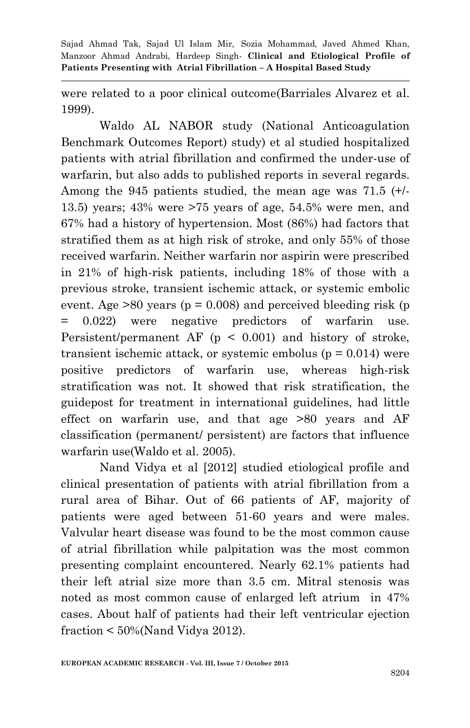were related to a poor clinical outcome(Barriales Alvarez et al. 1999).

Waldo AL NABOR study (National Anticoagulation Benchmark Outcomes Report) study) et al studied hospitalized patients with atrial fibrillation and confirmed the under-use of warfarin, but also adds to published reports in several regards. Among the 945 patients studied, the mean age was 71.5 (+/- 13.5) years; 43% were >75 years of age, 54.5% were men, and 67% had a history of hypertension. Most (86%) had factors that stratified them as at high risk of stroke, and only 55% of those received warfarin. Neither warfarin nor aspirin were prescribed in 21% of high-risk patients, including 18% of those with a previous stroke, transient ischemic attack, or systemic embolic event. Age  $>80$  years ( $p = 0.008$ ) and perceived bleeding risk (p = 0.022) were negative predictors of warfarin use. Persistent/permanent AF  $(p \le 0.001)$  and history of stroke, transient ischemic attack, or systemic embolus ( $p = 0.014$ ) were positive predictors of warfarin use, whereas high-risk stratification was not. It showed that risk stratification, the guidepost for treatment in international guidelines, had little effect on warfarin use, and that age >80 years and AF classification (permanent/ persistent) are factors that influence warfarin use(Waldo et al. 2005).

Nand Vidya et al [2012] studied etiological profile and clinical presentation of patients with atrial fibrillation from a rural area of Bihar. Out of 66 patients of AF, majority of patients were aged between 51-60 years and were males. Valvular heart disease was found to be the most common cause of atrial fibrillation while palpitation was the most common presenting complaint encountered. Nearly 62.1% patients had their left atrial size more than 3.5 cm. Mitral stenosis was noted as most common cause of enlarged left atrium in 47% cases. About half of patients had their left ventricular ejection fraction < 50%(Nand Vidya 2012).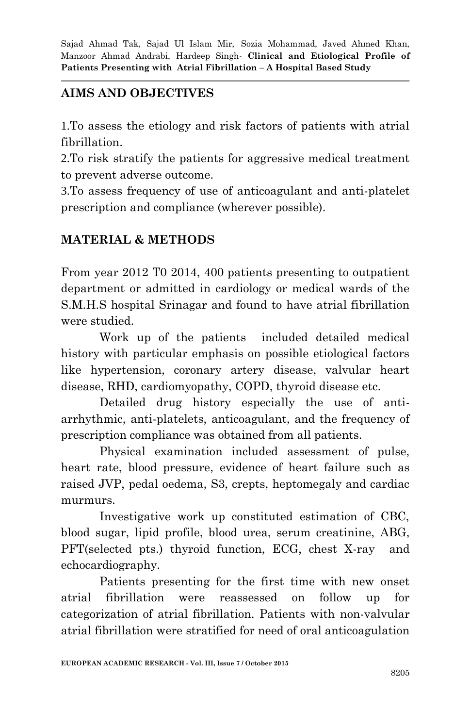# **AIMS AND OBJECTIVES**

1.To assess the etiology and risk factors of patients with atrial fibrillation.

2.To risk stratify the patients for aggressive medical treatment to prevent adverse outcome.

3.To assess frequency of use of anticoagulant and anti-platelet prescription and compliance (wherever possible).

# **MATERIAL & METHODS**

From year 2012 T0 2014, 400 patients presenting to outpatient department or admitted in cardiology or medical wards of the S.M.H.S hospital Srinagar and found to have atrial fibrillation were studied.

Work up of the patients included detailed medical history with particular emphasis on possible etiological factors like hypertension, coronary artery disease, valvular heart disease, RHD, cardiomyopathy, COPD, thyroid disease etc.

Detailed drug history especially the use of antiarrhythmic, anti-platelets, anticoagulant, and the frequency of prescription compliance was obtained from all patients.

Physical examination included assessment of pulse, heart rate, blood pressure, evidence of heart failure such as raised JVP, pedal oedema, S3, crepts, heptomegaly and cardiac murmurs.

Investigative work up constituted estimation of CBC, blood sugar, lipid profile, blood urea, serum creatinine, ABG, PFT(selected pts.) thyroid function, ECG, chest X-ray and echocardiography.

Patients presenting for the first time with new onset atrial fibrillation were reassessed on follow up for categorization of atrial fibrillation. Patients with non-valvular atrial fibrillation were stratified for need of oral anticoagulation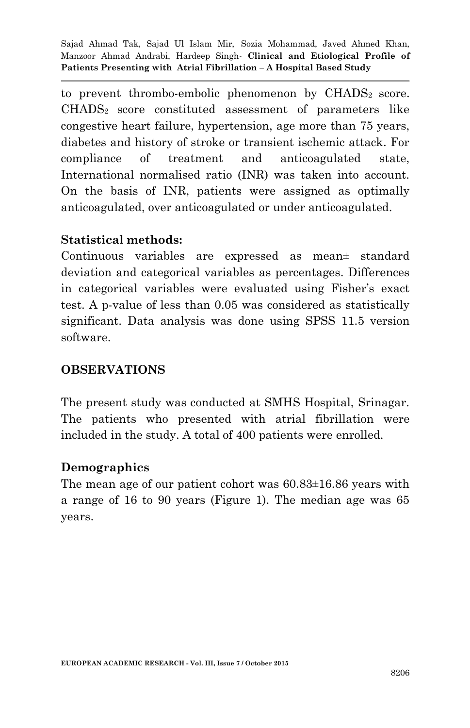to prevent thrombo-embolic phenomenon by  $\text{CHADS}_2$  score. CHADS2 score constituted assessment of parameters like congestive heart failure, hypertension, age more than 75 years, diabetes and history of stroke or transient ischemic attack. For compliance of treatment and anticoagulated state, International normalised ratio (INR) was taken into account. On the basis of INR, patients were assigned as optimally anticoagulated, over anticoagulated or under anticoagulated.

#### **Statistical methods:**

Continuous variables are expressed as mean± standard deviation and categorical variables as percentages. Differences in categorical variables were evaluated using Fisher's exact test. A p-value of less than 0.05 was considered as statistically significant. Data analysis was done using SPSS 11.5 version software.

### **OBSERVATIONS**

The present study was conducted at SMHS Hospital, Srinagar. The patients who presented with atrial fibrillation were included in the study. A total of 400 patients were enrolled.

### **Demographics**

The mean age of our patient cohort was 60.83±16.86 years with a range of 16 to 90 years (Figure 1). The median age was 65 years.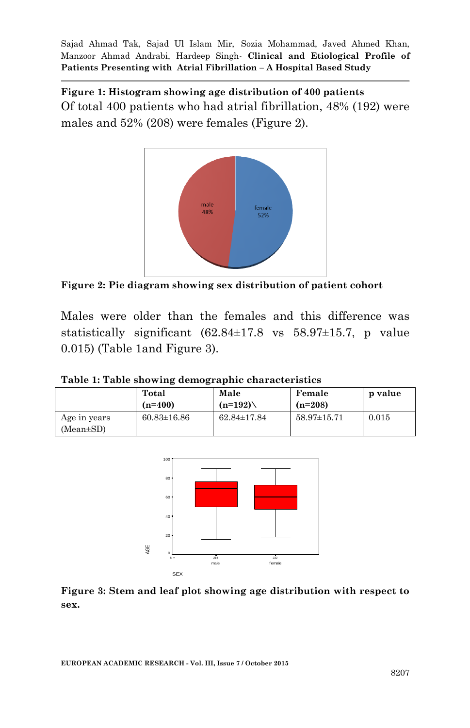**Figure 1: Histogram showing age distribution of 400 patients** Of total 400 patients who had atrial fibrillation, 48% (192) were males and 52% (208) were females (Figure 2).



**Figure 2: Pie diagram showing sex distribution of patient cohort**

Males were older than the females and this difference was statistically significant (62.84±17.8 vs 58.97±15.7, p value 0.015) (Table 1and Figure 3).

**Table 1: Table showing demographic characteristics**

| $(n=400)$         | $(n=192)$         | $(n=208)$         |       |
|-------------------|-------------------|-------------------|-------|
| $60.83 \pm 16.86$ | $62.84 \pm 17.84$ | $58.97 \pm 15.71$ | 0.015 |
|                   |                   |                   |       |



**Figure 3: Stem and leaf plot showing age distribution with respect to sex.**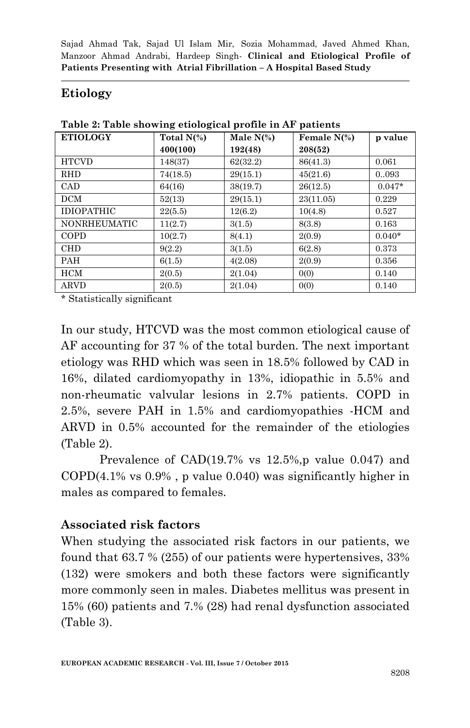## **Etiology**

| <b>ETIOLOGY</b>     | Total $N(\%)$ | Male $N(\%)$ | Female $N(\%)$ | p value  |
|---------------------|---------------|--------------|----------------|----------|
|                     | 400(100)      | 192(48)      | 208(52)        |          |
| <b>HTCVD</b>        | 148(37)       | 62(32.2)     | 86(41.3)       | 0.061    |
| <b>RHD</b>          | 74(18.5)      | 29(15.1)     | 45(21.6)       | 0093     |
| CAD                 | 64(16)        | 38(19.7)     | 26(12.5)       | $0.047*$ |
| <b>DCM</b>          | 52(13)        | 29(15.1)     | 23(11.05)      | 0.229    |
| <b>IDIOPATHIC</b>   | 22(5.5)       | 12(6.2)      | 10(4.8)        | 0.527    |
| <b>NONRHEUMATIC</b> | 11(2.7)       | 3(1.5)       | 8(3.8)         | 0.163    |
| COPD                | 10(2.7)       | 8(4.1)       | 2(0.9)         | $0.040*$ |
| <b>CHD</b>          | 9(2.2)        | 3(1.5)       | 6(2.8)         | 0.373    |
| <b>PAH</b>          | 6(1.5)        | 4(2.08)      | 2(0.9)         | 0.356    |
| <b>HCM</b>          | 2(0.5)        | 2(1.04)      | 0(0)           | 0.140    |
| <b>ARVD</b>         | 2(0.5)        | 2(1.04)      | 0(0)           | 0.140    |

**Table 2: Table showing etiological profile in AF patients**

\* Statistically significant

In our study, HTCVD was the most common etiological cause of AF accounting for 37 % of the total burden. The next important etiology was RHD which was seen in 18.5% followed by CAD in 16%, dilated cardiomyopathy in 13%, idiopathic in 5.5% and non-rheumatic valvular lesions in 2.7% patients. COPD in 2.5%, severe PAH in 1.5% and cardiomyopathies -HCM and ARVD in 0.5% accounted for the remainder of the etiologies (Table 2).

Prevalence of  $CAD(19.7\% \text{ vs } 12.5\%, \text{p value } 0.047)$  and COPD(4.1% vs 0.9% , p value 0.040) was significantly higher in males as compared to females.

### **Associated risk factors**

When studying the associated risk factors in our patients, we found that 63.7 % (255) of our patients were hypertensives, 33% (132) were smokers and both these factors were significantly more commonly seen in males. Diabetes mellitus was present in 15% (60) patients and 7.% (28) had renal dysfunction associated (Table 3).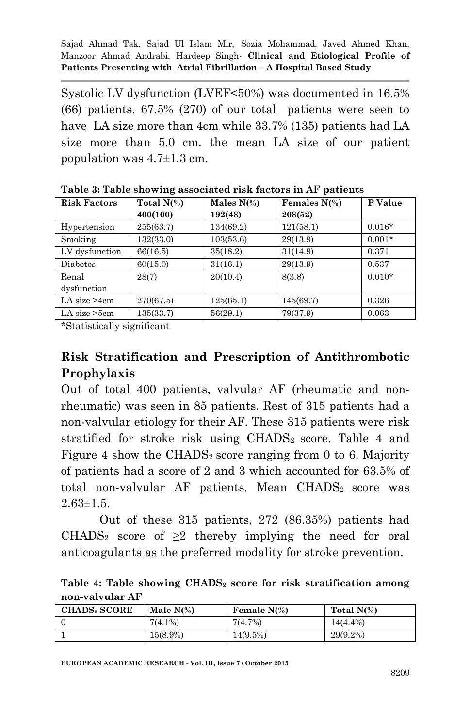Systolic LV dysfunction (LVEF<50%) was documented in 16.5% (66) patients. 67.5% (270) of our total patients were seen to have LA size more than 4cm while 33.7% (135) patients had LA size more than 5.0 cm. the mean LA size of our patient population was 4.7±1.3 cm.

| <b>Risk Factors</b> | Total $N(\%)$ | Males $N(\%)$ | Females $N(\%)$ | P Value  |
|---------------------|---------------|---------------|-----------------|----------|
|                     | 400(100)      | 192(48)       | 208(52)         |          |
| Hypertension        | 255(63.7)     | 134(69.2)     | 121(58.1)       | $0.016*$ |
| Smoking             | 132(33.0)     | 103(53.6)     | 29(13.9)        | $0.001*$ |
| LV dysfunction      | 66(16.5)      | 35(18.2)      | 31(14.9)        | 0.371    |
| Diabetes            | 60(15.0)      | 31(16.1)      | 29(13.9)        | 0.537    |
| Renal               | 28(7)         | 20(10.4)      | 8(3.8)          | $0.010*$ |
| dysfunction         |               |               |                 |          |
| LA size $>4$ cm     | 270(67.5)     | 125(65.1)     | 145(69.7)       | 0.326    |
| $LA$ size $>5cm$    | 135(33.7)     | 56(29.1)      | 79(37.9)        | 0.063    |

**Table 3: Table showing associated risk factors in AF patients**

\*Statistically significant

# **Risk Stratification and Prescription of Antithrombotic Prophylaxis**

Out of total 400 patients, valvular AF (rheumatic and nonrheumatic) was seen in 85 patients. Rest of 315 patients had a non-valvular etiology for their AF. These 315 patients were risk stratified for stroke risk using CHADS<sup>2</sup> score. Table 4 and Figure 4 show the CHADS<sub>2</sub> score ranging from 0 to 6. Majority of patients had a score of 2 and 3 which accounted for 63.5% of total non-valvular AF patients. Mean CHADS2 score was  $2.63 \pm 1.5$ .

Out of these 315 patients, 272 (86.35%) patients had CHADS<sub>2</sub> score of  $\geq 2$  thereby implying the need for oral anticoagulants as the preferred modality for stroke prevention.

**Table 4: Table showing CHADS<sup>2</sup> score for risk stratification among non-valvular AF**

| <b>CHADS</b> , <b>SCORE</b> | Male $N(\%)$ | Female $N(\%)$ | Total $N(\%)$ |
|-----------------------------|--------------|----------------|---------------|
|                             | $7(4.1\%)$   | 7(4.7%)        | $14(4.4\%)$   |
|                             | 15(8.9%)     | $14(9.5\%)$    | $29(9.2\%)$   |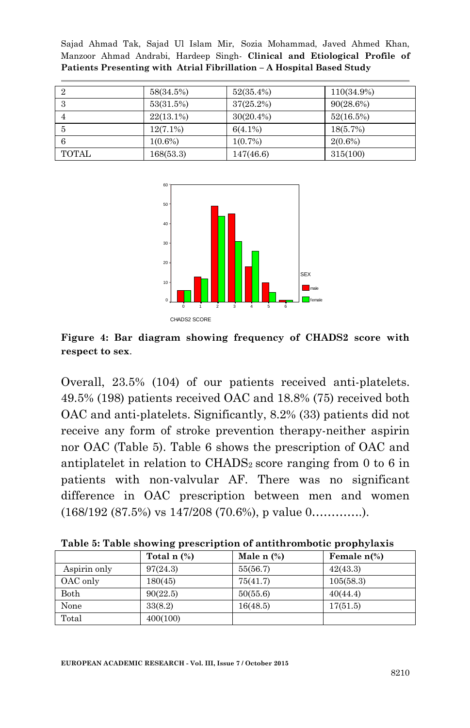|              | 58(34.5%)    | $52(35.4\%)$ | 110(34.9%)   |
|--------------|--------------|--------------|--------------|
| 3            | 53(31.5%)    | $37(25.2\%)$ | $90(28.6\%)$ |
|              | $22(13.1\%)$ | $30(20.4\%)$ | 52(16.5%)    |
| 5            | $12(7.1\%)$  | $6(4.1\%)$   | 18(5.7%)     |
| 6            | $1(0.6\%)$   | $1(0.7\%)$   | $2(0.6\%)$   |
| <b>TOTAL</b> | 168(53.3)    | 147(46.6)    | 315(100)     |



**Figure 4: Bar diagram showing frequency of CHADS2 score with respect to sex**.

Overall, 23.5% (104) of our patients received anti-platelets. 49.5% (198) patients received OAC and 18.8% (75) received both OAC and anti-platelets. Significantly, 8.2% (33) patients did not receive any form of stroke prevention therapy-neither aspirin nor OAC (Table 5). Table 6 shows the prescription of OAC and antiplatelet in relation to  $\text{CHADS}_2$  score ranging from 0 to 6 in patients with non-valvular AF. There was no significant difference in OAC prescription between men and women (168/192 (87.5%) vs 147/208 (70.6%), p value 0………….).

| Table 5: Table showing prescription of antithrombotic prophylaxis |  |  |
|-------------------------------------------------------------------|--|--|
|                                                                   |  |  |

|              | Total $n$ $\left(\% \right)$ | Male $n$ $\left(\% \right)$ | Female $n\%$ ) |
|--------------|------------------------------|-----------------------------|----------------|
| Aspirin only | 97(24.3)                     | 55(56.7)                    | 42(43.3)       |
| OAC only     | 180(45)                      | 75(41.7)                    | 105(58.3)      |
| Both         | 90(22.5)                     | 50(55.6)                    | 40(44.4)       |
| None         | 33(8.2)                      | 16(48.5)                    | 17(51.5)       |
| Total        | 400(100)                     |                             |                |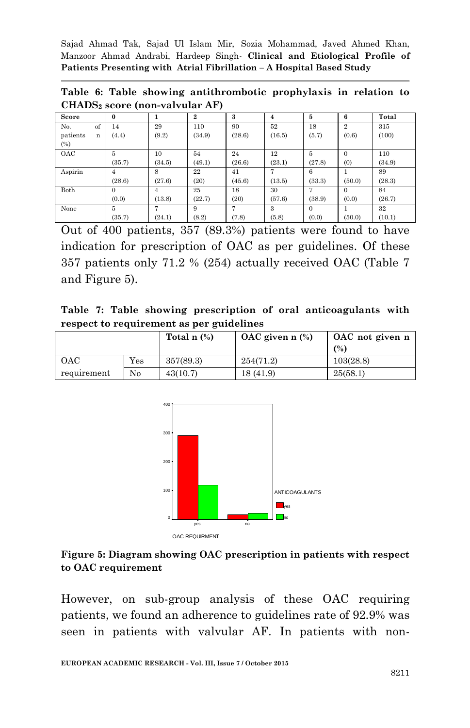**Table 6: Table showing antithrombotic prophylaxis in relation to CHADS<sup>2</sup> score (non-valvular AF)** 

| Score         | $\bf{0}$ |        | $\boldsymbol{2}$ | 3      | 4      | 5        | 6              | Total  |
|---------------|----------|--------|------------------|--------|--------|----------|----------------|--------|
| of<br>No.     | 14       | 29     | 110              | 90     | 52     | 18       | $\overline{2}$ | 315    |
| patients<br>n | (4.4)    | (9.2)  | (34.9)           | (28.6) | (16.5) | (5.7)    | (0.6)          | (100)  |
| (%)           |          |        |                  |        |        |          |                |        |
| OAC           | 5        | 10     | 54               | 24     | 12     | 5        | $\mathbf{0}$   | 110    |
|               | (35.7)   | (34.5) | (49.1)           | (26.6) | (23.1) | (27.8)   | (0)            | (34.9) |
| Aspirin       | 4        | 8      | 22               | 41     |        | 6        |                | 89     |
|               | (28.6)   | (27.6) | (20)             | (45.6) | (13.5) | (33.3)   | (50.0)         | (28.3) |
| Both          | $\Omega$ | 4      | 25               | 18     | 30     | 7        | $\Omega$       | 84     |
|               | (0.0)    | (13.8) | (22.7)           | (20)   | (57.6) | (38.9)   | (0.0)          | (26.7) |
| None          | 5        | 7      | 9                | 7      | 3      | $\Omega$ |                | 32     |
|               | (35.7)   | (24.1) | (8.2)            | (7.8)  | (5.8)  | (0.0)    | (50.0)         | (10.1) |

Out of 400 patients, 357 (89.3%) patients were found to have indication for prescription of OAC as per guidelines. Of these 357 patients only 71.2 % (254) actually received OAC (Table 7 and Figure 5).

**Table 7: Table showing prescription of oral anticoagulants with respect to requirement as per guidelines**

|             |              | Total $n$ $\left(\frac{9}{6}\right)$ | $OAC$ given n $(\%)$ | OAC not given n |
|-------------|--------------|--------------------------------------|----------------------|-----------------|
|             |              |                                      |                      | (%)             |
| <b>OAC</b>  | $_{\rm Yes}$ | 357(89.3)                            | 254(71.2)            | 103(28.8)       |
| requirement | No           | 43(10.7)                             | 18 (41.9)            | 25(58.1)        |



**Figure 5: Diagram showing OAC prescription in patients with respect to OAC requirement**

However, on sub-group analysis of these OAC requiring patients, we found an adherence to guidelines rate of 92.9% was seen in patients with valvular AF. In patients with non-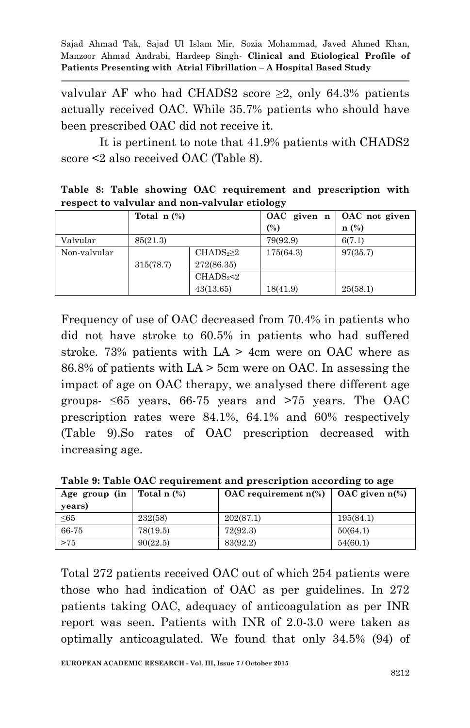valvular AF who had CHADS2 score ≥2, only 64.3% patients actually received OAC. While 35.7% patients who should have been prescribed OAC did not receive it.

It is pertinent to note that 41.9% patients with CHADS2 score <2 also received OAC (Table 8).

|  |  | Table 8: Table showing OAC requirement and prescription with |  |  |
|--|--|--------------------------------------------------------------|--|--|
|  |  | respect to valvular and non-valvular etiology                |  |  |

|              | Total $n$ $\left(\frac{9}{6}\right)$ |                                 | OAC given n | OAC not given    |
|--------------|--------------------------------------|---------------------------------|-------------|------------------|
|              |                                      |                                 | (%)         | $\mathbf{n}$ (%) |
| Valvular     | 85(21.3)                             |                                 | 79(92.9)    | 6(7.1)           |
| Non-valvular |                                      | CHADS <sub>2</sub> 2            | 175(64.3)   | 97(35.7)         |
|              | 315(78.7)                            | 272(86.35)                      |             |                  |
|              |                                      | CHADS <sub>2</sub> <sub>2</sub> |             |                  |
|              |                                      | 43(13.65)                       | 18(41.9)    | 25(58.1)         |

Frequency of use of OAC decreased from 70.4% in patients who did not have stroke to 60.5% in patients who had suffered stroke. 73% patients with  $LA > 4$ cm were on OAC where as 86.8% of patients with LA > 5cm were on OAC. In assessing the impact of age on OAC therapy, we analysed there different age groups-  $\leq 65$  years, 66-75 years and >75 years. The OAC prescription rates were 84.1%, 64.1% and 60% respectively (Table 9).So rates of OAC prescription decreased with increasing age.

**Table 9: Table OAC requirement and prescription according to age** 

| Age group (in   Total n $(\%)$<br>years) |          | OAC requirement $n\%$ ) | OAC given $n\%$ ) |
|------------------------------------------|----------|-------------------------|-------------------|
| $\leq 65$                                | 232(58)  | 202(87.1)               | 195(84.1)         |
| 66-75                                    | 78(19.5) | 72(92.3)                | 50(64.1)          |
| >75                                      | 90(22.5) | 83(92.2)                | 54(60.1)          |

Total 272 patients received OAC out of which 254 patients were those who had indication of OAC as per guidelines. In 272 patients taking OAC, adequacy of anticoagulation as per INR report was seen. Patients with INR of 2.0-3.0 were taken as optimally anticoagulated. We found that only 34.5% (94) of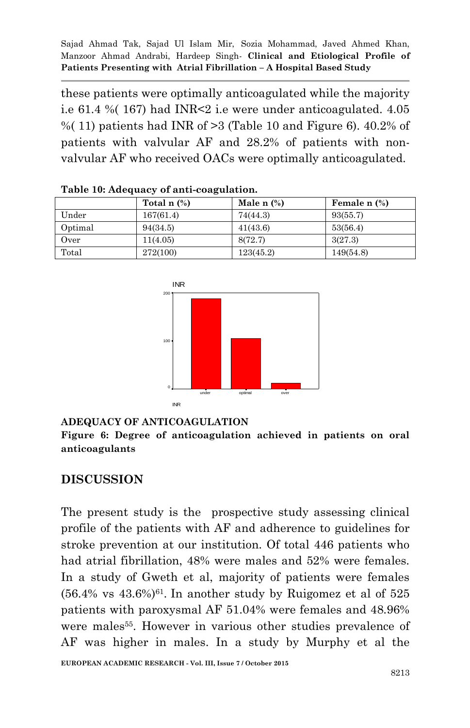these patients were optimally anticoagulated while the majority i.e 61.4 %( 167) had INR<2 i.e were under anticoagulated. 4.05 %(11) patients had INR of  $>3$  (Table 10 and Figure 6). 40.2% of patients with valvular AF and 28.2% of patients with nonvalvular AF who received OACs were optimally anticoagulated.

|         | Total $n$ $\left(\% \right)$ | Male n $(\%)$ | Female $n$ $%$ |
|---------|------------------------------|---------------|----------------|
| Under   | 167(61.4)                    | 74(44.3)      | 93(55.7)       |
| Optimal | 94(34.5)                     | 41(43.6)      | 53(56.4)       |
| Over    | 11(4.05)                     | 8(72.7)       | 3(27.3)        |
| Total   | 272(100)                     | 123(45.2)     | 149(54.8)      |

**Table 10: Adequacy of anti-coagulation.**



#### **ADEQUACY OF ANTICOAGULATION**

**Figure 6: Degree of anticoagulation achieved in patients on oral anticoagulants** 

### **DISCUSSION**

The present study is the prospective study assessing clinical profile of the patients with AF and adherence to guidelines for stroke prevention at our institution. Of total 446 patients who had atrial fibrillation, 48% were males and 52% were females. In a study of Gweth et al, majority of patients were females  $(56.4\% \text{ vs } 43.6\%)$ <sup>61</sup>. In another study by Ruigomez et al of  $525$ patients with paroxysmal AF 51.04% were females and 48.96% were males<sup>55</sup>. However in various other studies prevalence of AF was higher in males. In a study by Murphy et al the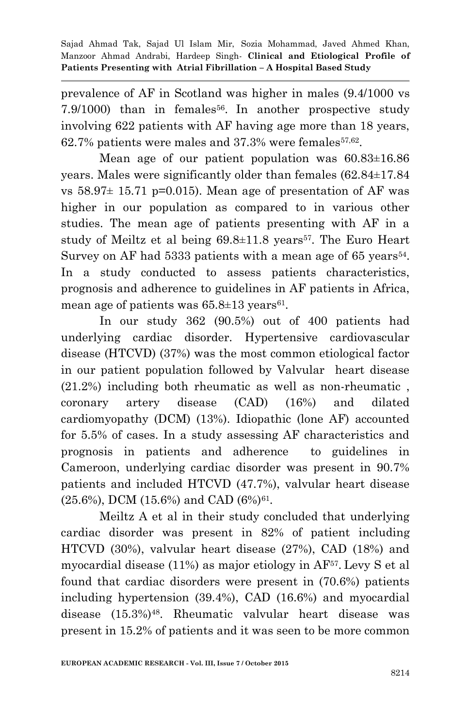prevalence of AF in Scotland was higher in males (9.4/1000 vs 7.9/1000) than in females<sup>56</sup>. In another prospective study involving 622 patients with AF having age more than 18 years,  $62.7\%$  patients were males and  $37.3\%$  were females<sup> $57.62$ </sup>.

Mean age of our patient population was  $60.83 \pm 16.86$ years. Males were significantly older than females (62.84±17.84 vs  $58.97 \pm 15.71$  p=0.015). Mean age of presentation of AF was higher in our population as compared to in various other studies. The mean age of patients presenting with AF in a study of Meiltz et al being  $69.8\pm11.8$  years<sup>57</sup>. The Euro Heart Survey on AF had 5333 patients with a mean age of 65 years<sup>54</sup>. In a study conducted to assess patients characteristics, prognosis and adherence to guidelines in AF patients in Africa, mean age of patients was  $65.8 \pm 13$  years<sup>61</sup>.

In our study 362 (90.5%) out of 400 patients had underlying cardiac disorder. Hypertensive cardiovascular disease (HTCVD) (37%) was the most common etiological factor in our patient population followed by Valvular heart disease (21.2%) including both rheumatic as well as non-rheumatic , coronary artery disease (CAD) (16%) and dilated cardiomyopathy (DCM) (13%). Idiopathic (lone AF) accounted for 5.5% of cases. In a study assessing AF characteristics and prognosis in patients and adherence to guidelines in Cameroon, underlying cardiac disorder was present in 90.7% patients and included HTCVD (47.7%), valvular heart disease  $(25.6\%)$ , DCM  $(15.6\%)$  and CAD  $(6\%)$ <sup>61</sup>.

Meiltz A et al in their study concluded that underlying cardiac disorder was present in 82% of patient including HTCVD (30%), valvular heart disease (27%), CAD (18%) and myocardial disease (11%) as major etiology in AF<sup>57</sup>. Levy S et al found that cardiac disorders were present in (70.6%) patients including hypertension (39.4%), CAD (16.6%) and myocardial disease (15.3%)48. Rheumatic valvular heart disease was present in 15.2% of patients and it was seen to be more common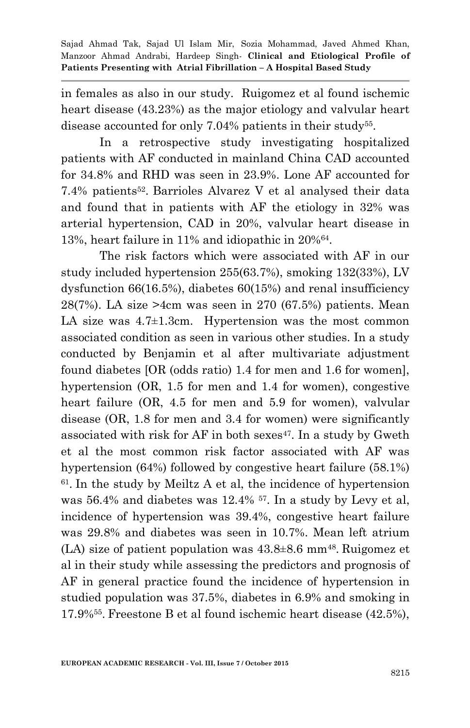in females as also in our study. Ruigomez et al found ischemic heart disease (43.23%) as the major etiology and valvular heart disease accounted for only 7.04% patients in their study<sup>55</sup>.

In a retrospective study investigating hospitalized patients with AF conducted in mainland China CAD accounted for 34.8% and RHD was seen in 23.9%. Lone AF accounted for 7.4% patients<sup>52</sup> . Barrioles Alvarez V et al analysed their data and found that in patients with AF the etiology in 32% was arterial hypertension, CAD in 20%, valvular heart disease in 13%, heart failure in 11% and idiopathic in 20%<sup>64</sup> .

The risk factors which were associated with AF in our study included hypertension 255(63.7%), smoking 132(33%), LV dysfunction 66(16.5%), diabetes 60(15%) and renal insufficiency 28(7%). LA size >4cm was seen in 270 (67.5%) patients. Mean LA size was 4.7±1.3cm. Hypertension was the most common associated condition as seen in various other studies. In a study conducted by Benjamin et al after multivariate adjustment found diabetes [OR (odds ratio) 1.4 for men and 1.6 for women], hypertension (OR, 1.5 for men and 1.4 for women), congestive heart failure (OR, 4.5 for men and 5.9 for women), valvular disease (OR, 1.8 for men and 3.4 for women) were significantly associated with risk for  $AF$  in both sexes<sup>47</sup>. In a study by Gweth et al the most common risk factor associated with AF was hypertension (64%) followed by congestive heart failure (58.1%) 61 . In the study by Meiltz A et al, the incidence of hypertension was 56.4% and diabetes was 12.4% 57. In a study by Levy et al, incidence of hypertension was 39.4%, congestive heart failure was 29.8% and diabetes was seen in 10.7%. Mean left atrium  $(LA)$  size of patient population was  $43.8\pm8.6$  mm<sup>48</sup>. Ruigomez et al in their study while assessing the predictors and prognosis of AF in general practice found the incidence of hypertension in studied population was 37.5%, diabetes in 6.9% and smoking in 17.9%<sup>55</sup> . Freestone B et al found ischemic heart disease (42.5%),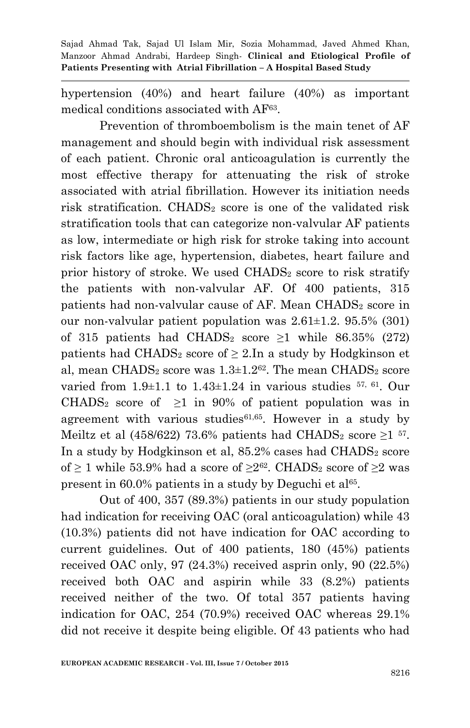hypertension (40%) and heart failure (40%) as important medical conditions associated with AF<sup>63</sup>.

Prevention of thromboembolism is the main tenet of AF management and should begin with individual risk assessment of each patient. Chronic oral anticoagulation is currently the most effective therapy for attenuating the risk of stroke associated with atrial fibrillation. However its initiation needs risk stratification. CHADS<sub>2</sub> score is one of the validated risk stratification tools that can categorize non-valvular AF patients as low, intermediate or high risk for stroke taking into account risk factors like age, hypertension, diabetes, heart failure and prior history of stroke. We used CHADS<sup>2</sup> score to risk stratify the patients with non-valvular AF. Of 400 patients, 315 patients had non-valvular cause of AF. Mean CHADS<sub>2</sub> score in our non-valvular patient population was  $2.61\pm1.2$ .  $95.5\%$  (301) of 315 patients had CHADS<sub>2</sub> score  $\geq$ 1 while 86.35% (272) patients had CHADS<sub>2</sub> score of  $\geq$  2. In a study by Hodgkinson et al, mean CHADS<sub>2</sub> score was  $1.3\pm1.2$ <sup>62</sup>. The mean CHADS<sub>2</sub> score varied from  $1.9\pm1.1$  to  $1.43\pm1.24$  in various studies  $57, 61$ . Our CHADS<sub>2</sub> score of  $\geq 1$  in 90% of patient population was in agreement with various studies<sup>61,65</sup>. However in a study by Meiltz et al (458/622) 73.6% patients had CHADS<sub>2</sub> score  $\geq$ 1 <sup>57</sup>. In a study by Hodgkinson et al,  $85.2\%$  cases had CHADS<sub>2</sub> score of  $\geq$  1 while 53.9% had a score of  $\geq$ 2<sup>62</sup>. CHADS<sub>2</sub> score of  $\geq$ 2 was present in 60.0% patients in a study by Deguchi et al<sup>65</sup>.

Out of 400, 357 (89.3%) patients in our study population had indication for receiving OAC (oral anticoagulation) while 43 (10.3%) patients did not have indication for OAC according to current guidelines. Out of 400 patients, 180 (45%) patients received OAC only, 97 (24.3%) received asprin only, 90 (22.5%) received both OAC and aspirin while 33 (8.2%) patients received neither of the two. Of total 357 patients having indication for OAC, 254 (70.9%) received OAC whereas 29.1% did not receive it despite being eligible. Of 43 patients who had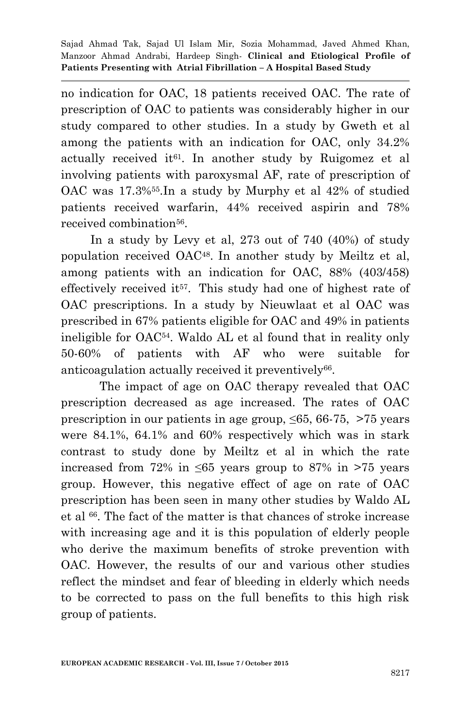no indication for OAC, 18 patients received OAC. The rate of prescription of OAC to patients was considerably higher in our study compared to other studies. In a study by Gweth et al among the patients with an indication for OAC, only 34.2% actually received it<sup> $61$ </sup>. In another study by Ruigomez et al involving patients with paroxysmal AF, rate of prescription of OAC was 17.3%55.In a study by Murphy et al 42% of studied patients received warfarin, 44% received aspirin and 78% received combination<sup>56</sup>.

 In a study by Levy et al, 273 out of 740 (40%) of study population received OAC<sup>48</sup> . In another study by Meiltz et al, among patients with an indication for OAC, 88% (403/458) effectively received it<sup>57</sup>. This study had one of highest rate of OAC prescriptions. In a study by Nieuwlaat et al OAC was prescribed in 67% patients eligible for OAC and 49% in patients ineligible for OAC54. Waldo AL et al found that in reality only 50-60% of patients with AF who were suitable for anticoagulation actually received it preventively<sup>66</sup>.

The impact of age on OAC therapy revealed that OAC prescription decreased as age increased. The rates of OAC prescription in our patients in age group, ≤65, 66-75, >75 years were 84.1%, 64.1% and 60% respectively which was in stark contrast to study done by Meiltz et al in which the rate increased from 72% in  $\leq 65$  years group to 87% in  $\geq 75$  years group. However, this negative effect of age on rate of OAC prescription has been seen in many other studies by Waldo AL et al <sup>66</sup> . The fact of the matter is that chances of stroke increase with increasing age and it is this population of elderly people who derive the maximum benefits of stroke prevention with OAC. However, the results of our and various other studies reflect the mindset and fear of bleeding in elderly which needs to be corrected to pass on the full benefits to this high risk group of patients.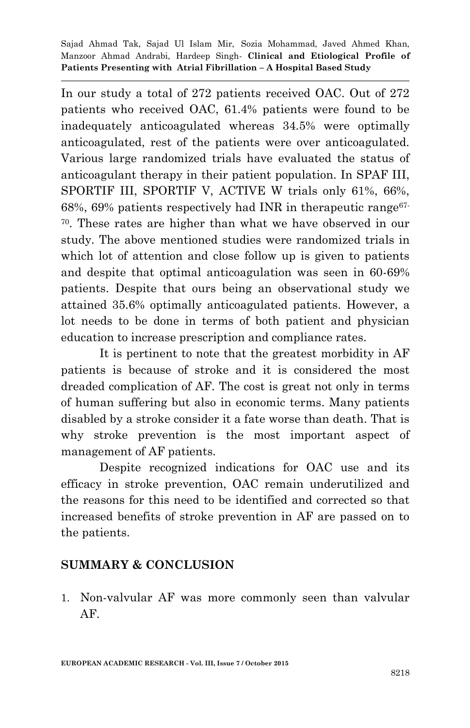In our study a total of 272 patients received OAC. Out of 272 patients who received OAC, 61.4% patients were found to be inadequately anticoagulated whereas 34.5% were optimally anticoagulated, rest of the patients were over anticoagulated. Various large randomized trials have evaluated the status of anticoagulant therapy in their patient population. In SPAF III, SPORTIF III, SPORTIF V, ACTIVE W trials only 61%, 66%, 68%, 69% patients respectively had INR in the ranget range  $67$ -<sup>70</sup>. These rates are higher than what we have observed in our study. The above mentioned studies were randomized trials in which lot of attention and close follow up is given to patients and despite that optimal anticoagulation was seen in 60-69% patients. Despite that ours being an observational study we attained 35.6% optimally anticoagulated patients. However, a lot needs to be done in terms of both patient and physician education to increase prescription and compliance rates.

It is pertinent to note that the greatest morbidity in AF patients is because of stroke and it is considered the most dreaded complication of AF. The cost is great not only in terms of human suffering but also in economic terms. Many patients disabled by a stroke consider it a fate worse than death. That is why stroke prevention is the most important aspect of management of AF patients.

Despite recognized indications for OAC use and its efficacy in stroke prevention, OAC remain underutilized and the reasons for this need to be identified and corrected so that increased benefits of stroke prevention in AF are passed on to the patients.

# **SUMMARY & CONCLUSION**

1. Non-valvular AF was more commonly seen than valvular AF.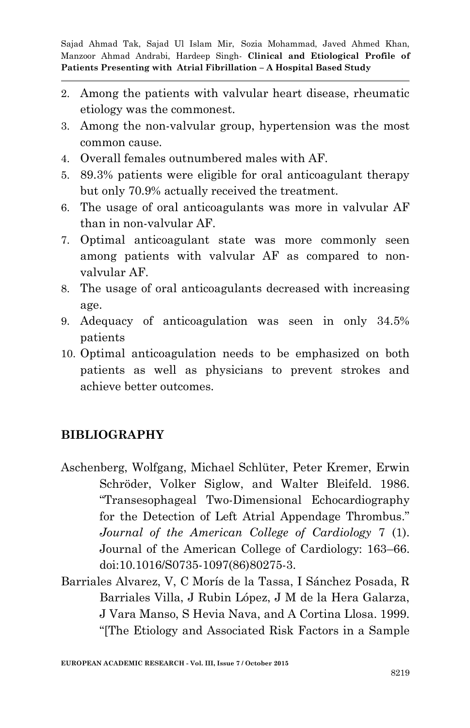- 2. Among the patients with valvular heart disease, rheumatic etiology was the commonest.
- 3. Among the non-valvular group, hypertension was the most common cause.
- 4. Overall females outnumbered males with AF.
- 5. 89.3% patients were eligible for oral anticoagulant therapy but only 70.9% actually received the treatment.
- 6. The usage of oral anticoagulants was more in valvular AF than in non-valvular AF.
- 7. Optimal anticoagulant state was more commonly seen among patients with valvular AF as compared to nonvalvular AF.
- 8. The usage of oral anticoagulants decreased with increasing age.
- 9. Adequacy of anticoagulation was seen in only 34.5% patients
- 10. Optimal anticoagulation needs to be emphasized on both patients as well as physicians to prevent strokes and achieve better outcomes.

# **BIBLIOGRAPHY**

- Aschenberg, Wolfgang, Michael Schlüter, Peter Kremer, Erwin Schröder, Volker Siglow, and Walter Bleifeld. 1986. "Transesophageal Two-Dimensional Echocardiography for the Detection of Left Atrial Appendage Thrombus." *Journal of the American College of Cardiology* 7 (1). Journal of the American College of Cardiology: 163–66. doi:10.1016/S0735-1097(86)80275-3.
- Barriales Alvarez, V, C Morís de la Tassa, I Sánchez Posada, R Barriales Villa, J Rubin López, J M de la Hera Galarza, J Vara Manso, S Hevia Nava, and A Cortina Llosa. 1999. "[The Etiology and Associated Risk Factors in a Sample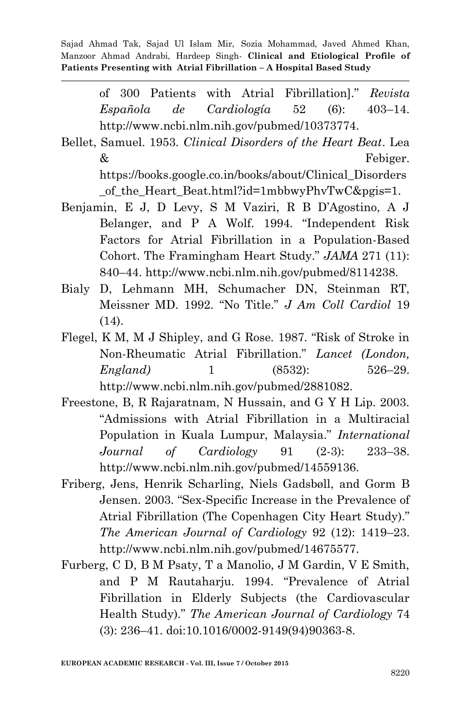> of 300 Patients with Atrial Fibrillation]." *Revista Española de Cardiología* 52 (6): 403–14. http://www.ncbi.nlm.nih.gov/pubmed/10373774.

- Bellet, Samuel. 1953. *Clinical Disorders of the Heart Beat*. Lea & Febiger. https://books.google.co.in/books/about/Clinical\_Disorders of the Heart Beat.html?id=1mbbwyPhvTwC&pgis=1.
- Benjamin, E J, D Levy, S M Vaziri, R B D'Agostino, A J Belanger, and P A Wolf. 1994. "Independent Risk Factors for Atrial Fibrillation in a Population-Based Cohort. The Framingham Heart Study." *JAMA* 271 (11): 840–44. http://www.ncbi.nlm.nih.gov/pubmed/8114238.
- Bialy D, Lehmann MH, Schumacher DN, Steinman RT, Meissner MD. 1992. "No Title." *J Am Coll Cardiol* 19 (14).
- Flegel, K M, M J Shipley, and G Rose. 1987. "Risk of Stroke in Non-Rheumatic Atrial Fibrillation." *Lancet (London, England)* 1 (8532): 526–29. http://www.ncbi.nlm.nih.gov/pubmed/2881082.
- Freestone, B, R Rajaratnam, N Hussain, and G Y H Lip. 2003. "Admissions with Atrial Fibrillation in a Multiracial Population in Kuala Lumpur, Malaysia." *International Journal of Cardiology* 91 (2-3): 233–38. http://www.ncbi.nlm.nih.gov/pubmed/14559136.
- Friberg, Jens, Henrik Scharling, Niels Gadsbøll, and Gorm B Jensen. 2003. "Sex-Specific Increase in the Prevalence of Atrial Fibrillation (The Copenhagen City Heart Study)." *The American Journal of Cardiology* 92 (12): 1419–23. http://www.ncbi.nlm.nih.gov/pubmed/14675577.
- Furberg, C D, B M Psaty, T a Manolio, J M Gardin, V E Smith, and P M Rautaharju. 1994. "Prevalence of Atrial Fibrillation in Elderly Subjects (the Cardiovascular Health Study)." *The American Journal of Cardiology* 74 (3): 236–41. doi:10.1016/0002-9149(94)90363-8.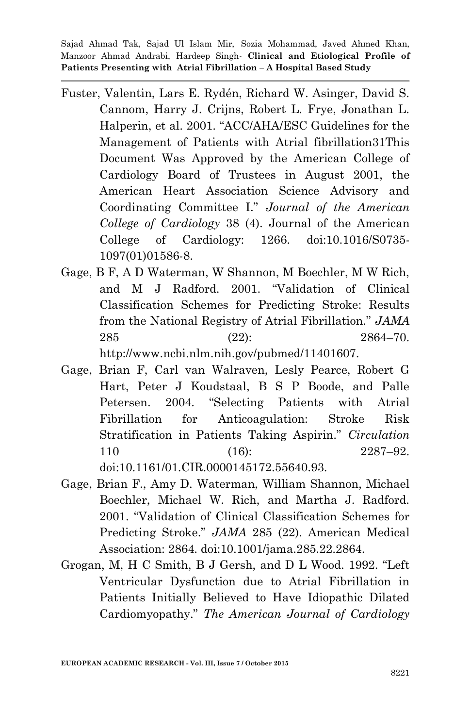- Fuster, Valentin, Lars E. Rydén, Richard W. Asinger, David S. Cannom, Harry J. Crijns, Robert L. Frye, Jonathan L. Halperin, et al. 2001. "ACC/AHA/ESC Guidelines for the Management of Patients with Atrial fibrillation31This Document Was Approved by the American College of Cardiology Board of Trustees in August 2001, the American Heart Association Science Advisory and Coordinating Committee I." *Journal of the American College of Cardiology* 38 (4). Journal of the American College of Cardiology: 1266. doi:10.1016/S0735- 1097(01)01586-8.
- Gage, B F, A D Waterman, W Shannon, M Boechler, M W Rich, and M J Radford. 2001. "Validation of Clinical Classification Schemes for Predicting Stroke: Results from the National Registry of Atrial Fibrillation." *JAMA* 285 (22): 2864–70. http://www.ncbi.nlm.nih.gov/pubmed/11401607.
- Gage, Brian F, Carl van Walraven, Lesly Pearce, Robert G Hart, Peter J Koudstaal, B S P Boode, and Palle Petersen. 2004. "Selecting Patients with Atrial Fibrillation for Anticoagulation: Stroke Risk Stratification in Patients Taking Aspirin." *Circulation* 110 (16): 2287–92. doi:10.1161/01.CIR.0000145172.55640.93.
- Gage, Brian F., Amy D. Waterman, William Shannon, Michael Boechler, Michael W. Rich, and Martha J. Radford. 2001. "Validation of Clinical Classification Schemes for Predicting Stroke." *JAMA* 285 (22). American Medical Association: 2864. doi:10.1001/jama.285.22.2864.
- Grogan, M, H C Smith, B J Gersh, and D L Wood. 1992. "Left Ventricular Dysfunction due to Atrial Fibrillation in Patients Initially Believed to Have Idiopathic Dilated Cardiomyopathy." *The American Journal of Cardiology*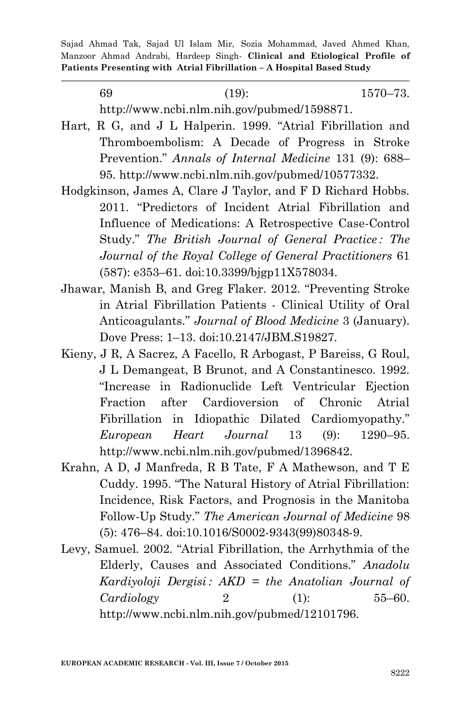| -69 | $(19)$ :                                    | $1570 - 73.$ |
|-----|---------------------------------------------|--------------|
|     | http://www.ncbi.nlm.nih.gov/pubmed/1598871. |              |

- Hart, R G, and J L Halperin. 1999. "Atrial Fibrillation and Thromboembolism: A Decade of Progress in Stroke Prevention." *Annals of Internal Medicine* 131 (9): 688– 95. http://www.ncbi.nlm.nih.gov/pubmed/10577332.
- Hodgkinson, James A, Clare J Taylor, and F D Richard Hobbs. 2011. "Predictors of Incident Atrial Fibrillation and Influence of Medications: A Retrospective Case-Control Study." *The British Journal of General Practice : The Journal of the Royal College of General Practitioners* 61 (587): e353–61. doi:10.3399/bjgp11X578034.
- Jhawar, Manish B, and Greg Flaker. 2012. "Preventing Stroke in Atrial Fibrillation Patients - Clinical Utility of Oral Anticoagulants." *Journal of Blood Medicine* 3 (January). Dove Press: 1–13. doi:10.2147/JBM.S19827.
- Kieny, J R, A Sacrez, A Facello, R Arbogast, P Bareiss, G Roul, J L Demangeat, B Brunot, and A Constantinesco. 1992. "Increase in Radionuclide Left Ventricular Ejection Fraction after Cardioversion of Chronic Atrial Fibrillation in Idiopathic Dilated Cardiomyopathy." *European Heart Journal* 13 (9): 1290–95. http://www.ncbi.nlm.nih.gov/pubmed/1396842.
- Krahn, A D, J Manfreda, R B Tate, F A Mathewson, and T E Cuddy. 1995. "The Natural History of Atrial Fibrillation: Incidence, Risk Factors, and Prognosis in the Manitoba Follow-Up Study." *The American Journal of Medicine* 98 (5): 476–84. doi:10.1016/S0002-9343(99)80348-9.
- Levy, Samuel. 2002. "Atrial Fibrillation, the Arrhythmia of the Elderly, Causes and Associated Conditions." *Anadolu Kardiyoloji Dergisi : AKD = the Anatolian Journal of Cardiology* 2 (1): 55–60. http://www.ncbi.nlm.nih.gov/pubmed/12101796.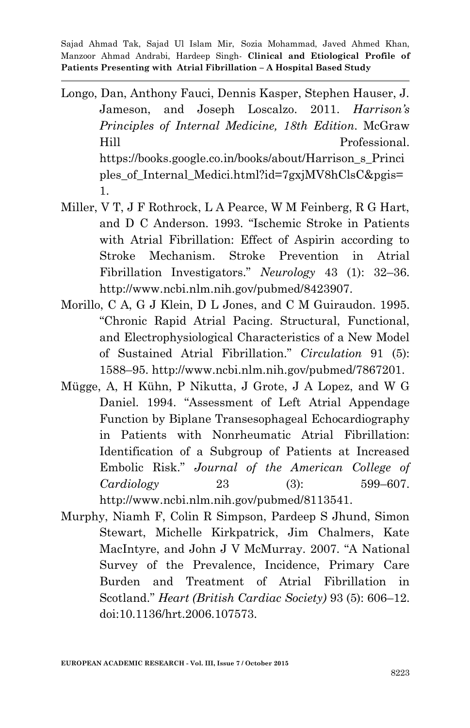- Longo, Dan, Anthony Fauci, Dennis Kasper, Stephen Hauser, J. Jameson, and Joseph Loscalzo. 2011. *Harrison's Principles of Internal Medicine, 18th Edition*. McGraw Hill Professional. https://books.google.co.in/books/about/Harrison\_s\_Princi ples\_of\_Internal\_Medici.html?id=7gxjMV8hClsC&pgis= 1.
- Miller, V T, J F Rothrock, L A Pearce, W M Feinberg, R G Hart, and D C Anderson. 1993. "Ischemic Stroke in Patients with Atrial Fibrillation: Effect of Aspirin according to Stroke Mechanism. Stroke Prevention in Atrial Fibrillation Investigators." *Neurology* 43 (1): 32–36. http://www.ncbi.nlm.nih.gov/pubmed/8423907.
- Morillo, C A, G J Klein, D L Jones, and C M Guiraudon. 1995. "Chronic Rapid Atrial Pacing. Structural, Functional, and Electrophysiological Characteristics of a New Model of Sustained Atrial Fibrillation." *Circulation* 91 (5): 1588–95. http://www.ncbi.nlm.nih.gov/pubmed/7867201.
- Mügge, A, H Kühn, P Nikutta, J Grote, J A Lopez, and W G Daniel. 1994. "Assessment of Left Atrial Appendage Function by Biplane Transesophageal Echocardiography in Patients with Nonrheumatic Atrial Fibrillation: Identification of a Subgroup of Patients at Increased Embolic Risk." *Journal of the American College of Cardiology* 23 (3): 599–607. http://www.ncbi.nlm.nih.gov/pubmed/8113541.
- Murphy, Niamh F, Colin R Simpson, Pardeep S Jhund, Simon Stewart, Michelle Kirkpatrick, Jim Chalmers, Kate MacIntyre, and John J V McMurray. 2007. "A National Survey of the Prevalence, Incidence, Primary Care Burden and Treatment of Atrial Fibrillation in Scotland." *Heart (British Cardiac Society)* 93 (5): 606–12. doi:10.1136/hrt.2006.107573.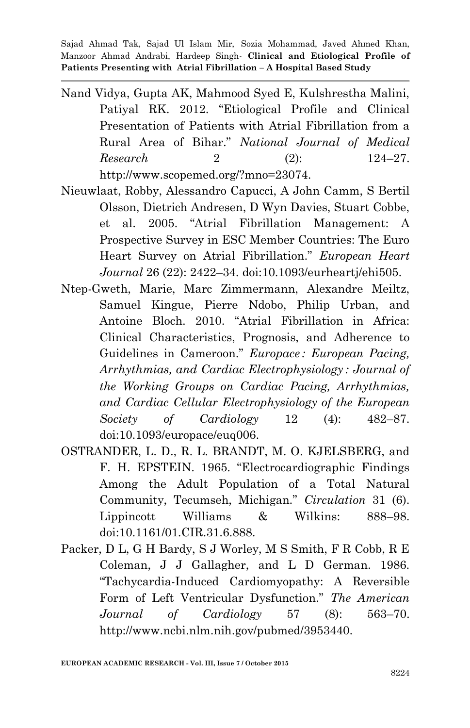- Nand Vidya, Gupta AK, Mahmood Syed E, Kulshrestha Malini, Patiyal RK. 2012. "Etiological Profile and Clinical Presentation of Patients with Atrial Fibrillation from a Rural Area of Bihar." *National Journal of Medical Research* 2 (2): 124–27. http://www.scopemed.org/?mno=23074.
- Nieuwlaat, Robby, Alessandro Capucci, A John Camm, S Bertil Olsson, Dietrich Andresen, D Wyn Davies, Stuart Cobbe, et al. 2005. "Atrial Fibrillation Management: A Prospective Survey in ESC Member Countries: The Euro Heart Survey on Atrial Fibrillation." *European Heart Journal* 26 (22): 2422–34. doi:10.1093/eurheartj/ehi505.
- Ntep-Gweth, Marie, Marc Zimmermann, Alexandre Meiltz, Samuel Kingue, Pierre Ndobo, Philip Urban, and Antoine Bloch. 2010. "Atrial Fibrillation in Africa: Clinical Characteristics, Prognosis, and Adherence to Guidelines in Cameroon." *Europace : European Pacing, Arrhythmias, and Cardiac Electrophysiology : Journal of the Working Groups on Cardiac Pacing, Arrhythmias, and Cardiac Cellular Electrophysiology of the European Society of Cardiology* 12 (4): 482–87. doi:10.1093/europace/euq006.
- OSTRANDER, L. D., R. L. BRANDT, M. O. KJELSBERG, and F. H. EPSTEIN. 1965. "Electrocardiographic Findings Among the Adult Population of a Total Natural Community, Tecumseh, Michigan." *Circulation* 31 (6). Lippincott Williams & Wilkins: 888–98. doi:10.1161/01.CIR.31.6.888.
- Packer, D L, G H Bardy, S J Worley, M S Smith, F R Cobb, R E Coleman, J J Gallagher, and L D German. 1986. "Tachycardia-Induced Cardiomyopathy: A Reversible Form of Left Ventricular Dysfunction." *The American Journal of Cardiology* 57 (8): 563–70. http://www.ncbi.nlm.nih.gov/pubmed/3953440.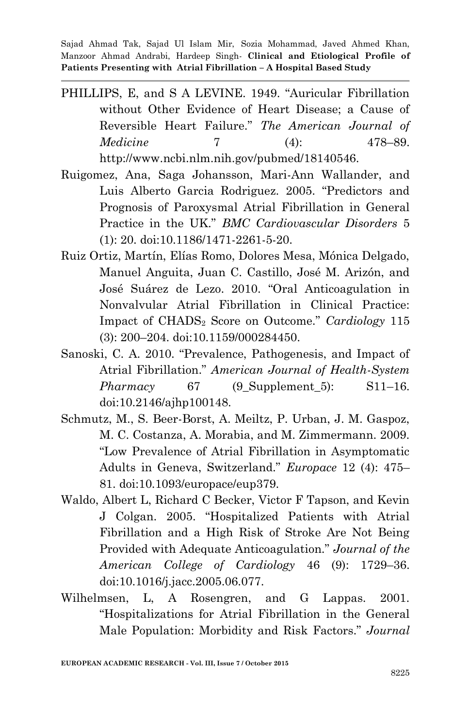- PHILLIPS, E, and S A LEVINE. 1949. "Auricular Fibrillation without Other Evidence of Heart Disease; a Cause of Reversible Heart Failure." *The American Journal of Medicine* 7 (4): 478–89. http://www.ncbi.nlm.nih.gov/pubmed/18140546.
- Ruigomez, Ana, Saga Johansson, Mari-Ann Wallander, and Luis Alberto Garcia Rodriguez. 2005. "Predictors and Prognosis of Paroxysmal Atrial Fibrillation in General Practice in the UK." *BMC Cardiovascular Disorders* 5 (1): 20. doi:10.1186/1471-2261-5-20.
- Ruiz Ortiz, Martín, Elías Romo, Dolores Mesa, Mónica Delgado, Manuel Anguita, Juan C. Castillo, José M. Arizón, and José Suárez de Lezo. 2010. "Oral Anticoagulation in Nonvalvular Atrial Fibrillation in Clinical Practice: Impact of CHADS<sup>2</sup> Score on Outcome." *Cardiology* 115 (3): 200–204. doi:10.1159/000284450.
- Sanoski, C. A. 2010. "Prevalence, Pathogenesis, and Impact of Atrial Fibrillation." *American Journal of Health-System Pharmacy* 67 (9 Supplement 5): S11–16. doi:10.2146/ajhp100148.
- Schmutz, M., S. Beer-Borst, A. Meiltz, P. Urban, J. M. Gaspoz, M. C. Costanza, A. Morabia, and M. Zimmermann. 2009. "Low Prevalence of Atrial Fibrillation in Asymptomatic Adults in Geneva, Switzerland." *Europace* 12 (4): 475– 81. doi:10.1093/europace/eup379.
- Waldo, Albert L, Richard C Becker, Victor F Tapson, and Kevin J Colgan. 2005. "Hospitalized Patients with Atrial Fibrillation and a High Risk of Stroke Are Not Being Provided with Adequate Anticoagulation." *Journal of the American College of Cardiology* 46 (9): 1729–36. doi:10.1016/j.jacc.2005.06.077.
- Wilhelmsen, L, A Rosengren, and G Lappas. 2001. "Hospitalizations for Atrial Fibrillation in the General Male Population: Morbidity and Risk Factors." *Journal*